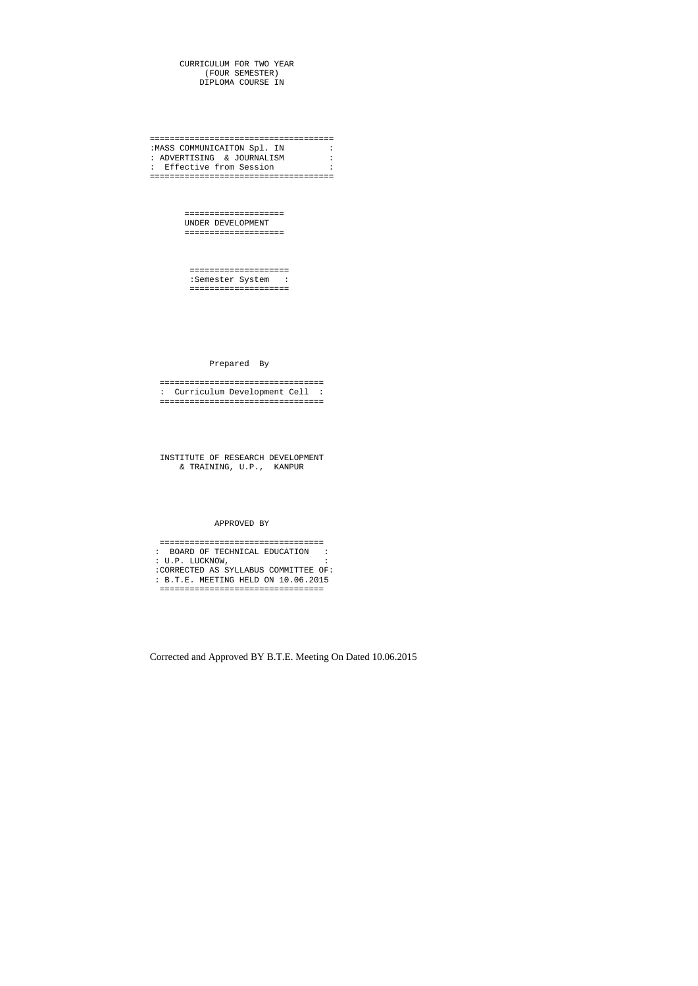CURRICULUM FOR TWO YEAR (FOUR SEMESTER) DIPLOMA COURSE IN

===================================== :MASS COMMUNICAITON Spl. IN : : ADVERTISING & JOURNALISM : : Effective from Session : =====================================

> ==================== UNDER DEVELOPMENT ====================

 ==================== :Semester System : ====================

Prepared By

 ================================= : Curriculum Development Cell : =================================

 INSTITUTE OF RESEARCH DEVELOPMENT & TRAINING, U.P., KANPUR

#### APPROVED BY

 ================================= : BOARD OF TECHNICAL EDUCATION : : U.P. LUCKNOW, : :CORRECTED AS SYLLABUS COMMITTEE OF: : B.T.E. MEETING HELD ON 10.06.2015 =================================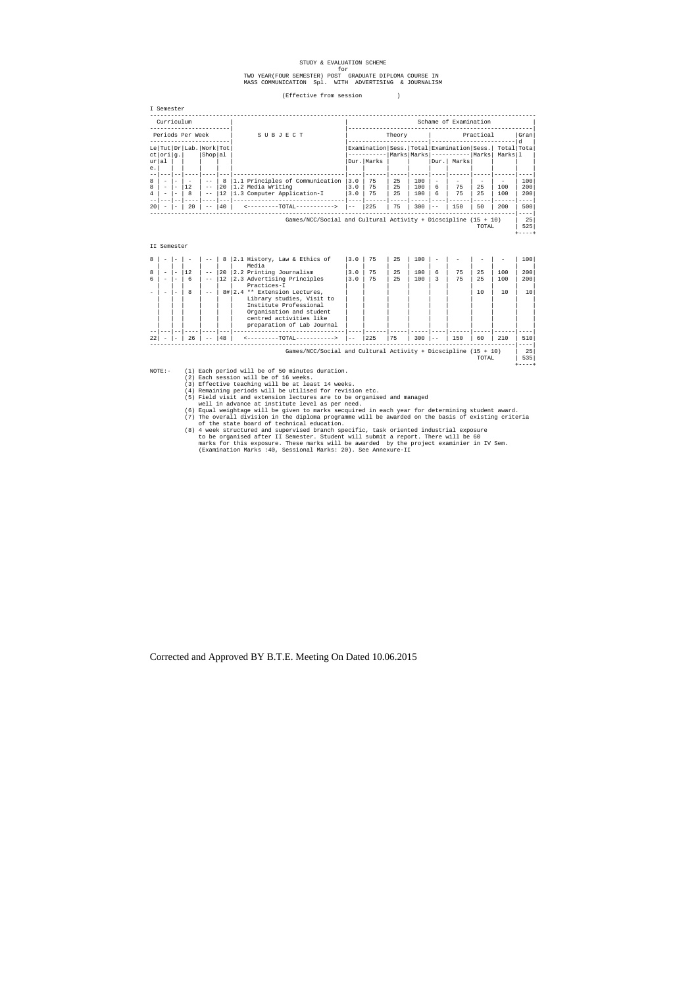# STUDY & EVALUATION SCHEME

# for<br>TWO YEAR(FOUR SEMESTER) POST GRADUATE DIPLOMA COURSE IN<br>MASS COMMUNICATION Spl. WITH ADVERTISING & JOURNALISM

(Effective from session )

| 11125 L<br>۰.<br>۰.<br>$\sim$<br>٠<br>v<br>۰.<br>× |
|----------------------------------------------------|
|                                                    |

|                                                                           | Curriculum                                                                       |                                                                         |         |                                    |               | Schame of Examination                                                              |                   |                |                |                   |                                    |                                                                                                          |          |            |                   |
|---------------------------------------------------------------------------|----------------------------------------------------------------------------------|-------------------------------------------------------------------------|---------|------------------------------------|---------------|------------------------------------------------------------------------------------|-------------------|----------------|----------------|-------------------|------------------------------------|----------------------------------------------------------------------------------------------------------|----------|------------|-------------------|
| Periods Per Week                                                          |                                                                                  |                                                                         |         |                                    | SUBJECT       | Practical<br>Theory                                                                |                   |                |                |                   |                                    | Gran<br>d.                                                                                               |          |            |                   |
| е.                                                                        | ct  ori g.<br>ur al                                                              |                                                                         |         | Le Tut Dr Lab. Work Tot<br>Shop al |               |                                                                                    |                   | Dur.   Marks   |                |                   | Dur.l                              | Examination Sess. Total Examination Sess. Total Tota<br>  Marks   Marks   -----------   Marks  <br>Marks |          | Marksll    |                   |
| 8<br>8<br>$\overline{4}$                                                  | $\overline{\phantom{a}}$<br>$\overline{\phantom{0}}$<br>$\overline{\phantom{0}}$ | $\overline{\phantom{0}}$<br>$\overline{\phantom{a}}$<br>$\qquad \qquad$ | 12<br>8 | $ -$<br>$- -$<br>$ -$              | 8<br>20<br>12 | 1.1 Principles of Communication<br>1.2 Media Writing<br>1.3 Computer Application-I | 3.0<br>3.0<br>3.0 | 75<br>75<br>75 | 25<br>25<br>25 | 100<br>100<br>100 | $\overline{\phantom{a}}$<br>6<br>6 | 75<br>75                                                                                                 | 25<br>25 | 100<br>100 | 100<br>200<br>200 |
| 20                                                                        |                                                                                  |                                                                         | 20      | $- -$                              | 40            | <---------TOTAL----------->                                                        | $ -$              | 225            | 75             | 300               | $ -$                               | 150                                                                                                      | 50       | 200        | $- - -$<br>500    |
| Games/NCC/Social and Cultural Activity + Dicscipline $(15 + 10)$<br>TOTAL |                                                                                  |                                                                         |         |                                    |               |                                                                                    |                   |                | 25<br>525      |                   |                                    |                                                                                                          |          |            |                   |
|                                                                           | II Semester                                                                      |                                                                         |         |                                    |               |                                                                                    |                   |                |                |                   |                                    |                                                                                                          |          |            |                   |

| 8  |                          |    |       | 8            | $ 2.1$ History, Law & Ethics of                                  | 3.0 | 75  | 2.5 | 100 |   |     |       |     | 100 |
|----|--------------------------|----|-------|--------------|------------------------------------------------------------------|-----|-----|-----|-----|---|-----|-------|-----|-----|
|    |                          |    |       |              | Media                                                            |     |     |     |     |   |     |       |     |     |
| 8  | $\overline{\phantom{0}}$ | 12 | $ -$  | $ 20\rangle$ | 2.2 Printing Journalism                                          | 3.0 | 75  | 25  | 100 | 6 | 75  | 2.5   | 100 | 200 |
| б. |                          | 6  | $- -$ | 12           | 2.3 Advertising Principles                                       | 3.0 | 75  | 25  | 100 | 3 | 75  | 2.5   | 100 | 200 |
|    |                          |    |       |              | Practices-I                                                      |     |     |     |     |   |     |       |     |     |
|    |                          | 8  | $ -$  |              | 8# 2.4 ** Extension Lectures,                                    |     |     |     |     |   |     | 10    | 10  | 10  |
|    |                          |    |       |              | Library studies, Visit to                                        |     |     |     |     |   |     |       |     |     |
|    |                          |    |       |              | Institute Professional                                           |     |     |     |     |   |     |       |     |     |
|    |                          |    |       |              | Organisation and student                                         |     |     |     |     |   |     |       |     |     |
|    |                          |    |       |              | centred activities like                                          |     |     |     |     |   |     |       |     |     |
|    |                          |    |       |              | preparation of Lab Journal                                       |     |     |     |     |   |     |       |     |     |
|    |                          |    |       |              |                                                                  |     |     |     |     |   |     |       |     |     |
| 22 |                          | 26 | $- -$ | 48           | $-TOTAT -$                                                       |     | 225 | 75  | 300 |   | 150 | 60    | 210 | 510 |
|    |                          |    |       |              |                                                                  |     |     |     |     |   |     |       |     |     |
|    |                          |    |       |              | Games/NCC/Social and Cultural Activity + Dicscipline $(15 + 10)$ |     |     |     |     |   |     |       |     | 25  |
|    |                          |    |       |              |                                                                  |     |     |     |     |   |     | TOTAL |     | 535 |

NOTE:- (1) Each period will be of 50 minutes duration.<br>
(2) Each session will be of 16 weeks.<br>
(3) Effective teaching will be at least 14 weeks.<br>
(4) Remaining periods will be utilised for revision etc.<br>
(5) Field visit an

well in advance at institute level as per need.<br>(6) Equal weightage will be given to marks secquired in each year for determining student award.<br>(7) The overall division in the diploma programme will be awarded on the basi

of the state board of technical education.<br>
(8) 4 week structured and supervised branch specific, task oriented industrial exposure<br>
to be organised after II Semester. Student will submit a report. There will be 60<br>
marks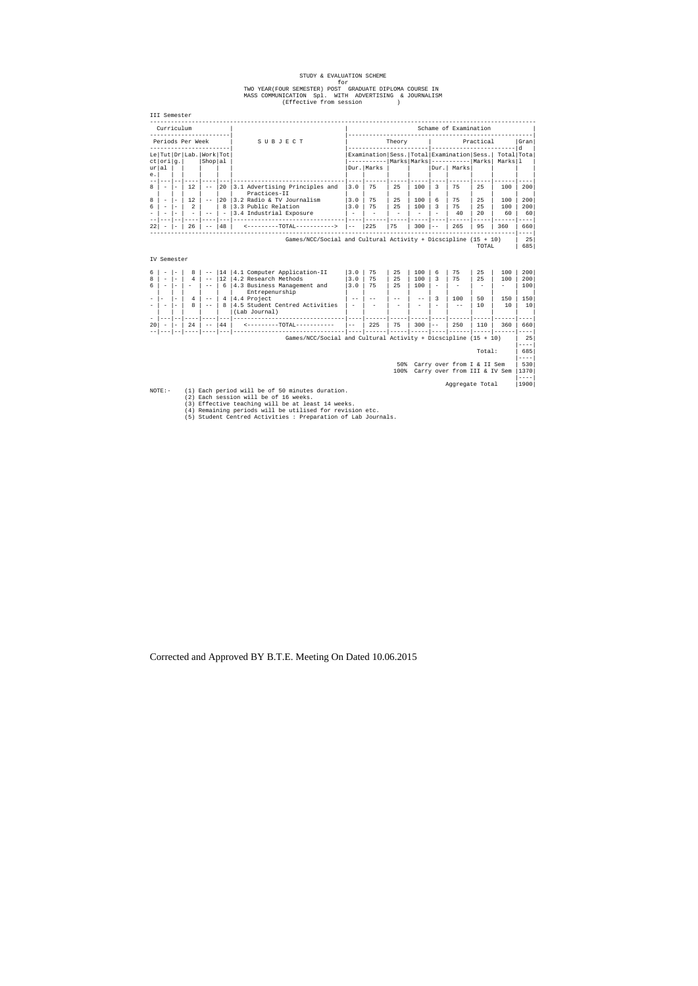# STUDY & EVALUATION SCHEME<br>for<br>TWO YEAR(FOUR SEMESTER) POST GRADUATE DIPLOMA COURSE IN<br>MASS COMMUNICATION Spl. WITH ADVERTISING & JOURNALISM<br>(Effective from session )

| Curriculum<br>----------------------                                                                                             |                                                  |                           |                                     |                                                                                                           |                                                                                                                       |                      |                 |                                        | Schame of Examination<br>----------------- |                                                            |                                       |                              |                                                                 |  |
|----------------------------------------------------------------------------------------------------------------------------------|--------------------------------------------------|---------------------------|-------------------------------------|-----------------------------------------------------------------------------------------------------------|-----------------------------------------------------------------------------------------------------------------------|----------------------|-----------------|----------------------------------------|--------------------------------------------|------------------------------------------------------------|---------------------------------------|------------------------------|-----------------------------------------------------------------|--|
| Periods Per Week<br>--------------------                                                                                         |                                                  |                           |                                     | SUBJECT                                                                                                   | Theory                                                                                                                |                      |                 |                                        | Practical<br>------------------------ d    |                                                            |                                       |                              | Gran                                                            |  |
| Le Tut Dr Lab. Work Tot<br>ct  ori g.                                                                                            |                                                  | Shop al                   |                                     |                                                                                                           | -----------------------<br>Examination Sess. Total Examination Sess.<br>----------  Marks   Marks   ----------  Marks |                      |                 |                                        |                                            | Total Tota<br>Marksll                                      |                                       |                              |                                                                 |  |
| ur al<br>е.                                                                                                                      |                                                  |                           |                                     |                                                                                                           |                                                                                                                       | Dur.   Marks         |                 |                                        |                                            | Dur.   Marks                                               |                                       |                              |                                                                 |  |
| $- -$<br>$---$<br>$\sim$<br>$\overline{\phantom{a}}$                                                                             | 12                                               | $ -$                      | 20                                  | 3.1 Advertising Principles and<br>Practices-II                                                            | 3.0                                                                                                                   | 75                   | 25              | 100                                    | 3                                          | 75                                                         | 25                                    | 100                          | ----<br>200                                                     |  |
| $\sim$<br>$\overline{\phantom{a}}$<br>$\overline{\phantom{a}}$<br>$\sim$<br>$\overline{\phantom{a}}$<br>$\overline{\phantom{a}}$ | 12<br>$\overline{2}$<br>$\overline{\phantom{a}}$ | $ -$<br>$ -$              | 20<br>8<br>$\overline{\phantom{0}}$ | 3.2 Radio & TV Journalism<br>3.3 Public Relation<br>3.4 Industrial Exposure                               | 3.0<br>3.0<br>$\overline{a}$                                                                                          | 75<br>75             | 25<br>25        | 100<br>100<br>$\overline{\phantom{a}}$ | 6<br>3                                     | 75<br>75<br>40                                             | 25<br>25<br>20                        | 100<br>100<br>60             | 200<br>200<br>60                                                |  |
| $-$<br>22                                                                                                                        | 26                                               | $- - - -$<br>$ -$         | $- - -$<br>48                       | ---------------------------------<br><---------TOTAL----------->                                          | $- - - -$<br>$- -$                                                                                                    | $- - - - - -$<br>225 | 75              | 300                                    | $- - -$<br>$- -$                           | 265                                                        | $- - - - -$<br>95                     | 360                          | ----<br>660                                                     |  |
|                                                                                                                                  |                                                  |                           |                                     | Games/NCC/Social and Cultural Activity + Dicscipline $(15 + 10)$                                          |                                                                                                                       |                      |                 |                                        |                                            |                                                            | TOTAL                                 |                              | $- - - -$<br>25<br>685                                          |  |
| IV Semester                                                                                                                      |                                                  |                           |                                     |                                                                                                           |                                                                                                                       |                      |                 |                                        |                                            |                                                            |                                       |                              |                                                                 |  |
| $\overline{\phantom{a}}$<br>$\overline{\phantom{a}}$<br>$\sim$<br>$\overline{\phantom{a}}$                                       | 8<br>$\overline{4}$                              | $ -$<br>$ -$<br>$- -$     | 12<br>6                             | 14   4.1 Computer Application-II<br>4.2 Research Methods<br>4.3 Business Management and<br>Entrepenurship | 3.0<br>3.0<br>3.0                                                                                                     | 75<br>75<br>75       | 25<br>2.5<br>25 | 100<br>100<br>100                      | 6<br>3<br>$\overline{\phantom{a}}$         | 75<br>75<br>$\overline{\phantom{a}}$                       | 25<br>2.5<br>$\overline{\phantom{a}}$ | 100<br>100<br>$\overline{a}$ | 200<br>200<br>100                                               |  |
| $\overline{\phantom{a}}$<br>$\sim$<br>$\sim$                                                                                     | 4<br>8                                           | $ -$<br>$ -$<br>$- - - -$ | 4<br>8                              | 4.4 Project<br>4.5 Student Centred Activities<br>(Lab Journal)<br>---------------------------------       | $\qquad \qquad -$<br>$\overline{\phantom{a}}$                                                                         | $\qquad \qquad -$    |                 | $- -$<br>$- - - - -$                   | 3<br>$- - - -$                             | 100<br>$ -$                                                | 50<br>10<br>$\frac{1}{2}$             | 150<br>10                    | 150<br>10<br>----                                               |  |
|                                                                                                                                  | 24                                               | $- -$                     | 44<br>$- - - 1$                     | <---------TOTAL----------                                                                                 | $- -$                                                                                                                 | 225                  | 75              | 300                                    | $ -$                                       | 250                                                        | 110                                   | 360                          | 660<br>$- - - -$                                                |  |
| $\overline{\phantom{a}}$<br>$\sim$                                                                                               |                                                  |                           |                                     |                                                                                                           |                                                                                                                       |                      |                 |                                        |                                            |                                                            |                                       |                              |                                                                 |  |
| $ -$                                                                                                                             | ---- ----                                        |                           |                                     | Games/NCC/Social and Cultural Activity + Dicscipline $(15 + 10)$                                          |                                                                                                                       |                      |                 |                                        |                                            |                                                            |                                       |                              |                                                                 |  |
|                                                                                                                                  |                                                  |                           |                                     |                                                                                                           |                                                                                                                       |                      |                 |                                        |                                            |                                                            | Total:                                |                              |                                                                 |  |
| 20                                                                                                                               |                                                  |                           |                                     |                                                                                                           |                                                                                                                       |                      | 50%<br>100%     |                                        |                                            | Carry over from I & II Sem<br>Carry over from III & IV Sem |                                       |                              | 25<br>$- - - -$<br>685<br>$- - - -$<br>530<br>1370<br>$- - - -$ |  |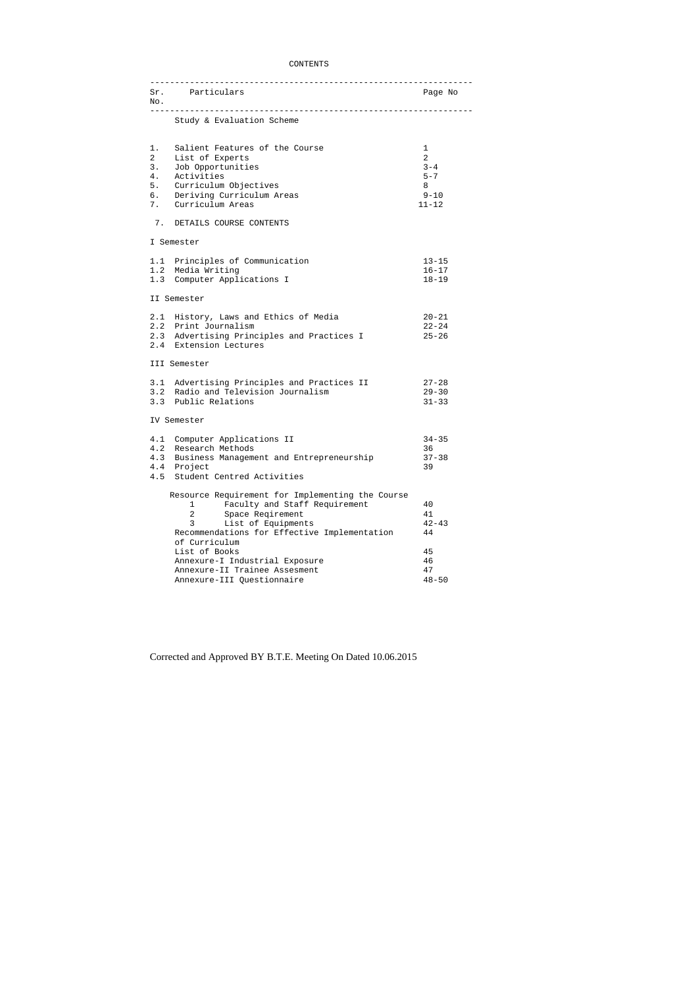# CONTENTS

| No.                                                | Sr. Particulars                                                                                                                                                                                                                                                                                                                            | Page No                                                    |
|----------------------------------------------------|--------------------------------------------------------------------------------------------------------------------------------------------------------------------------------------------------------------------------------------------------------------------------------------------------------------------------------------------|------------------------------------------------------------|
|                                                    | Study & Evaluation Scheme                                                                                                                                                                                                                                                                                                                  |                                                            |
| 1.<br>$\overline{a}$<br>3.<br>4.<br>5.<br>б.<br>7. | Salient Features of the Course<br>List of Experts<br>Job Opportunities<br>Activities<br>Curriculum Objectives<br>Deriving Curriculum Areas<br>Curriculum Areas                                                                                                                                                                             | 1<br>2<br>$3 - 4$<br>$5 - 7$<br>8<br>$9 - 10$<br>$11 - 12$ |
| 7.                                                 | DETAILS COURSE CONTENTS                                                                                                                                                                                                                                                                                                                    |                                                            |
|                                                    | I Semester                                                                                                                                                                                                                                                                                                                                 |                                                            |
|                                                    | 1.1 Principles of Communication<br>1.2 Media Writing<br>1.3 Computer Applications I                                                                                                                                                                                                                                                        | $13 - 15$<br>$16 - 17$<br>$18 - 19$                        |
|                                                    | II Semester                                                                                                                                                                                                                                                                                                                                |                                                            |
|                                                    | 2.1 History, Laws and Ethics of Media<br>2.2 Print Journalism<br>2.3 Advertising Principles and Practices I<br>2.4 Extension Lectures                                                                                                                                                                                                      | $20 - 21$<br>$22 - 24$<br>$25 - 26$                        |
|                                                    | III Semester                                                                                                                                                                                                                                                                                                                               |                                                            |
|                                                    | 3.1 Advertising Principles and Practices II<br>3.2 Radio and Television Journalism<br>3.3 Public Relations                                                                                                                                                                                                                                 | $27 - 28$<br>$29 - 30$<br>$31 - 33$                        |
|                                                    | IV Semester                                                                                                                                                                                                                                                                                                                                |                                                            |
|                                                    | 4.1 Computer Applications II<br>4.2 Research Methods<br>4.3 Business Management and Entrepreneurship<br>4.4 Project<br>4.5 Student Centred Activities                                                                                                                                                                                      | $34 - 35$<br>36<br>$37 - 38$<br>39                         |
|                                                    | Resource Requirement for Implementing the Course<br>Faculty and Staff Requirement<br>1<br>$\overline{2}$<br>Space Reqirement<br>3<br>List of Equipments<br>Recommendations for Effective Implementation<br>of Curriculum<br>List of Books<br>Annexure-I Industrial Exposure<br>Annexure-II Trainee Assesment<br>Annexure-III Questionnaire | 40<br>41<br>$42 - 43$<br>44<br>45<br>46<br>47              |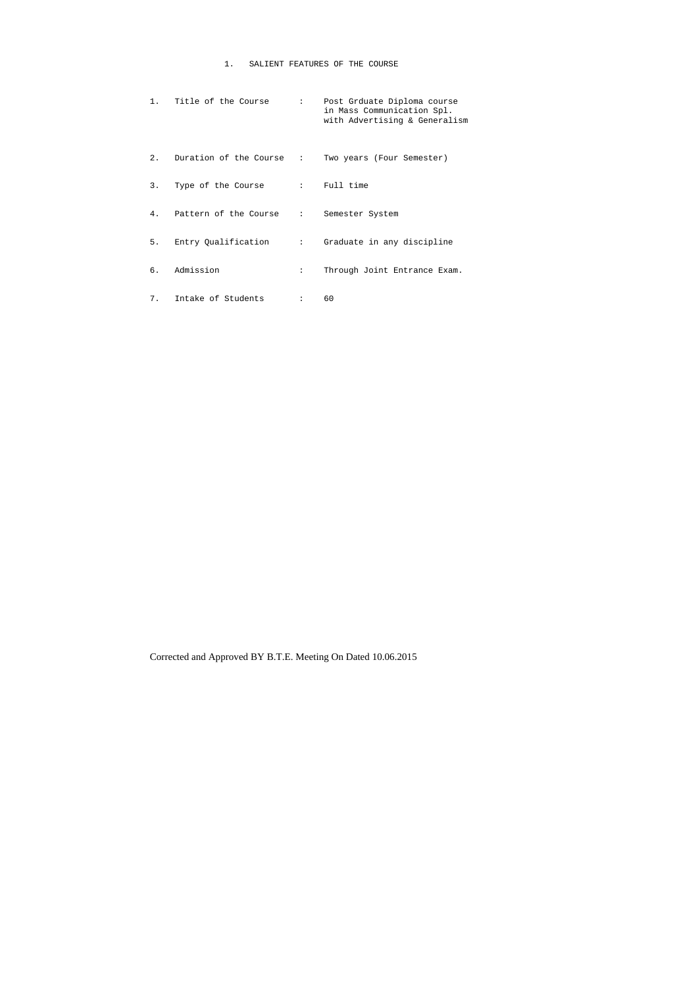# 1. SALIENT FEATURES OF THE COURSE

|                | 1. Title of the Course   |              | : Post Grduate Diploma course<br>in Mass Communication Spl.<br>with Advertising & Generalism |
|----------------|--------------------------|--------------|----------------------------------------------------------------------------------------------|
| 2.             | Duration of the Course : |              | Two years (Four Semester)                                                                    |
| 3.             | Type of the Course       |              | : Full time                                                                                  |
| 4 <sub>1</sub> | Pattern of the Course :  |              | Semester System                                                                              |
| 5.             | Entry Qualification      |              | : Graduate in any discipline                                                                 |
| б.             | Admission                | $\mathbf{L}$ | Through Joint Entrance Exam.                                                                 |
|                | 7. Intake of Students    | 2.5000       | 60                                                                                           |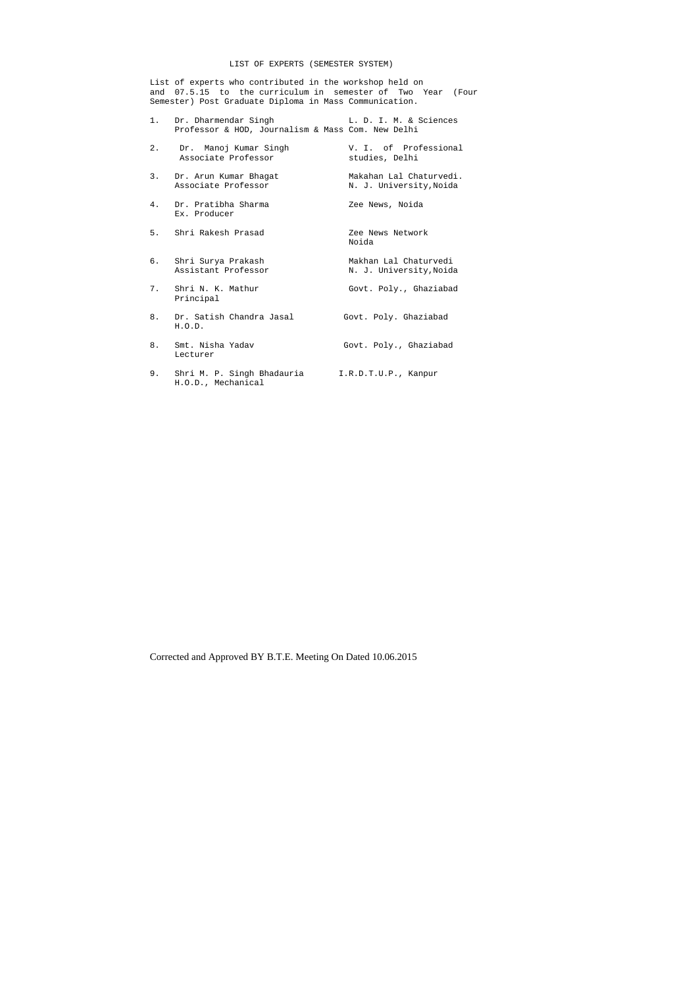# LIST OF EXPERTS (SEMESTER SYSTEM)

1. Dr. Dharmendar Singh T. D. I. M. & Sciences Professor & HOD, Journalism & Mass Com. New Delhi

List of experts who contributed in the workshop held on and 07.5.15 to the curriculum in semester of Two Year (Four Semester) Post Graduate Diploma in Mass Communication.

| 2. | Dr.  Manoj Kumar Singh<br>Associate Professor | V. I. of Professional<br>studies, Delhi            |
|----|-----------------------------------------------|----------------------------------------------------|
| 3. | Dr. Arun Kumar Bhagat<br>Associate Professor  | Makahan Lal Chaturvedi.<br>N. J. University, Noida |
| 4. | Dr. Pratibha Sharma<br>Ex. Producer           | Zee News, Noida                                    |
|    | 5. Shri Rakesh Prasad                         | Zee News Network<br>Noida                          |
|    | 6. Shri Surya Prakash<br>Assistant Professor  | Makhan Lal Chaturvedi<br>N. J. University, Noida   |
| 7. | Shri N. K. Mathur<br>Principal                | Govt. Poly., Ghaziabad                             |
| 8. | Dr. Satish Chandra Jasal<br>H.O.D.            | Govt. Poly. Ghaziabad                              |
| 8. | Smt. Nisha Yadav<br>Lecturer                  | Govt. Poly., Ghaziabad                             |
|    | 9. Shri M. P. Singh Bhadauria                 | I.R.D.T.U.P., Kanpur                               |

H.O.D., Mechanical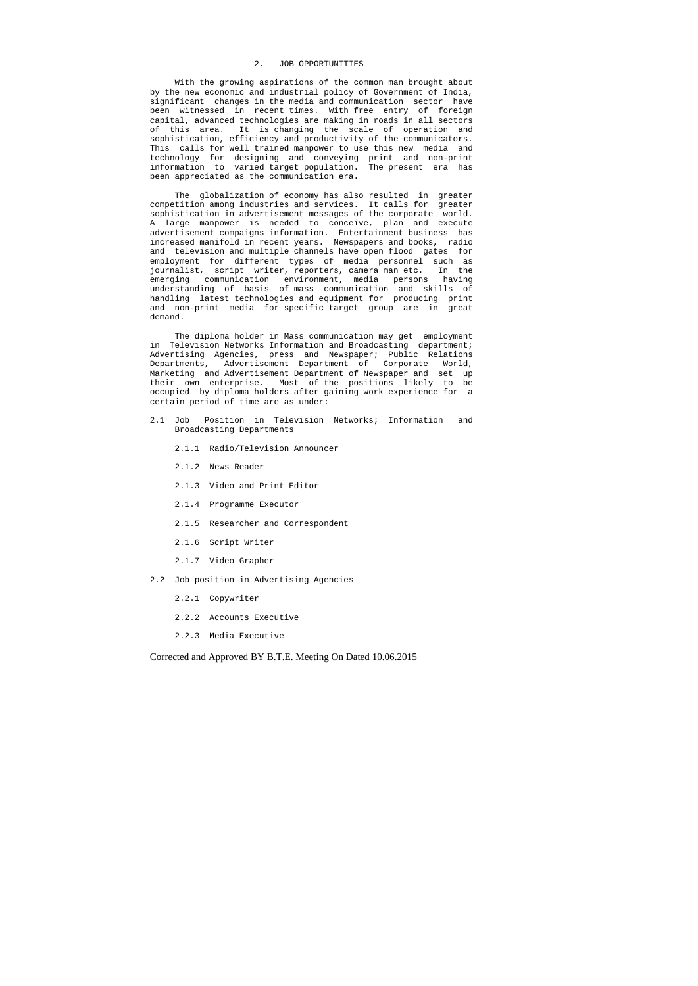#### 2. JOB OPPORTUNITIES

 With the growing aspirations of the common man brought about by the new economic and industrial policy of Government of India, significant changes in the media and communication sector have been witnessed in recent times. With free entry of foreign capital, advanced technologies are making in roads in all sectors of this area. It is changing the scale of operation and sophistication, efficiency and productivity of the communicators. This calls for well trained manpower to use this new media and technology for designing and conveying print and non-print information to varied target population. The present era has been appreciated as the communication era.

 The globalization of economy has also resulted in greater competition among industries and services. It calls for greater sophistication in advertisement messages of the corporate world. A large manpower is needed to conceive, plan and execute advertisement compaigns information. Entertainment business has increased manifold in recent years. Newspapers and books, radio and television and multiple channels have open flood gates for employment for different types of media personnel such as journalist, script writer, reporters, camera man etc. In the emerging communication environment, media persons having understanding of basis of mass communication and skills of handling latest technologies and equipment for producing print and non-print media for specific target group are in great demand.

 The diploma holder in Mass communication may get employment in Television Networks Information and Broadcasting department; Advertising Agencies, press and Newspaper; Public Relations Departments, Advertisement Department of Corporate World, Marketing and Advertisement Department of Newspaper and set up their own enterprise. Most of the positions likely to be occupied by diploma holders after gaining work experience for a certain period of time are as under:

- 2.1 Job Position in Television Networks; Information and Broadcasting Departments
	- 2.1.1 Radio/Television Announcer
	- 2.1.2 News Reader
	- 2.1.3 Video and Print Editor
	- 2.1.4 Programme Executor
	- 2.1.5 Researcher and Correspondent
	- 2.1.6 Script Writer
	- 2.1.7 Video Grapher
- 2.2 Job position in Advertising Agencies
	- 2.2.1 Copywriter
	- 2.2.2 Accounts Executive
	- 2.2.3 Media Executive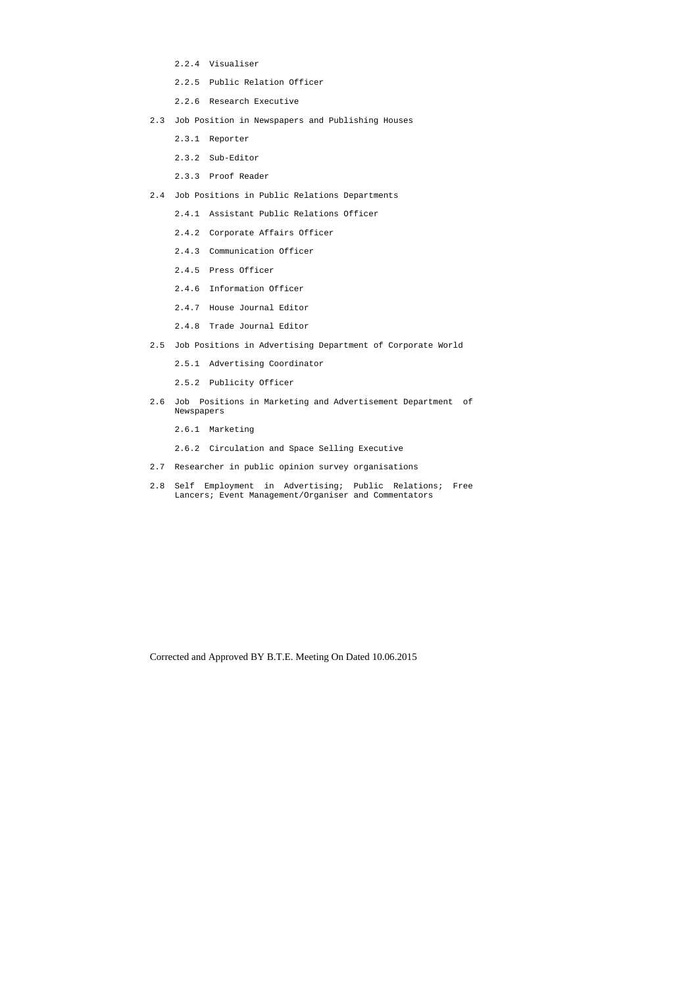- 2.2.4 Visualiser
- 2.2.5 Public Relation Officer
- 2.2.6 Research Executive
- 2.3 Job Position in Newspapers and Publishing Houses
	- 2.3.1 Reporter
	- 2.3.2 Sub-Editor
	- 2.3.3 Proof Reader
- 2.4 Job Positions in Public Relations Departments
	- 2.4.1 Assistant Public Relations Officer
	- 2.4.2 Corporate Affairs Officer
	- 2.4.3 Communication Officer
	- 2.4.5 Press Officer
	- 2.4.6 Information Officer
	- 2.4.7 House Journal Editor
	- 2.4.8 Trade Journal Editor
- 2.5 Job Positions in Advertising Department of Corporate World
	- 2.5.1 Advertising Coordinator
	- 2.5.2 Publicity Officer
- 2.6 Job Positions in Marketing and Advertisement Department of Newspapers
	- 2.6.1 Marketing
	- 2.6.2 Circulation and Space Selling Executive
- 2.7 Researcher in public opinion survey organisations
- 2.8 Self Employment in Advertising; Public Relations; Free Lancers; Event Management/Organiser and Commentators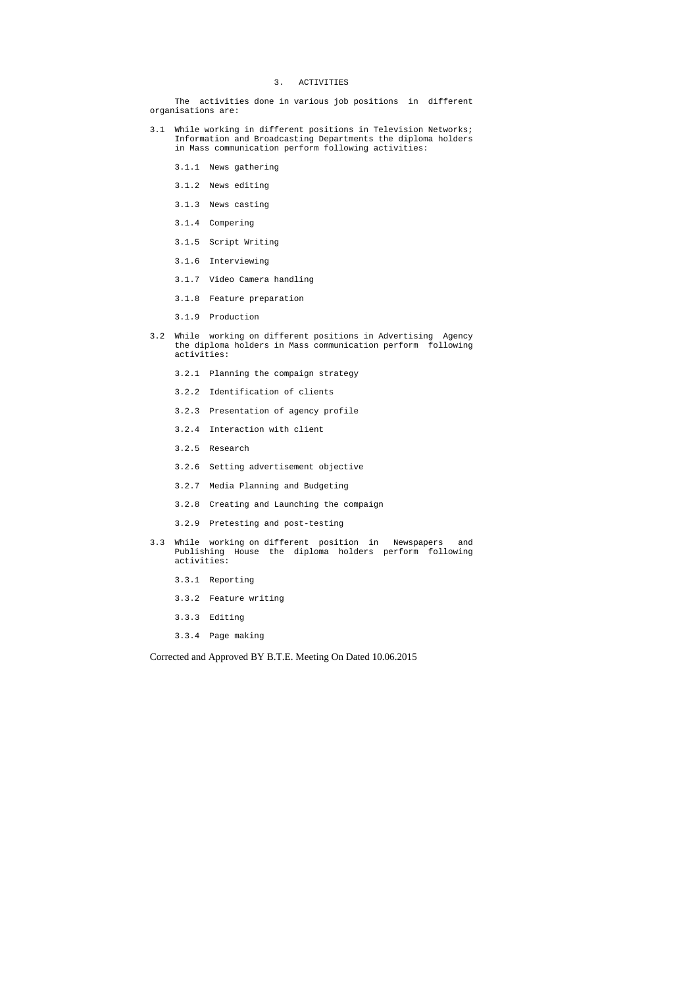#### 3. ACTIVITIES

 The activities done in various job positions in different organisations are:

- 3.1 While working in different positions in Television Networks; Information and Broadcasting Departments the diploma holders in Mass communication perform following activities:
	- 3.1.1 News gathering
	- 3.1.2 News editing
	- 3.1.3 News casting
	- 3.1.4 Compering
	- 3.1.5 Script Writing
	- 3.1.6 Interviewing
	- 3.1.7 Video Camera handling
	- 3.1.8 Feature preparation
	- 3.1.9 Production
- 3.2 While working on different positions in Advertising Agency the diploma holders in Mass communication perform following activities:
	- 3.2.1 Planning the compaign strategy
	- 3.2.2 Identification of clients
	- 3.2.3 Presentation of agency profile
	- 3.2.4 Interaction with client
	- 3.2.5 Research
	- 3.2.6 Setting advertisement objective
	- 3.2.7 Media Planning and Budgeting
	- 3.2.8 Creating and Launching the compaign
	- 3.2.9 Pretesting and post-testing
- 3.3 While working on different position in Newspapers and Publishing House the diploma holders perform following activities:
	- 3.3.1 Reporting
	- 3.3.2 Feature writing
	- 3.3.3 Editing
	- 3.3.4 Page making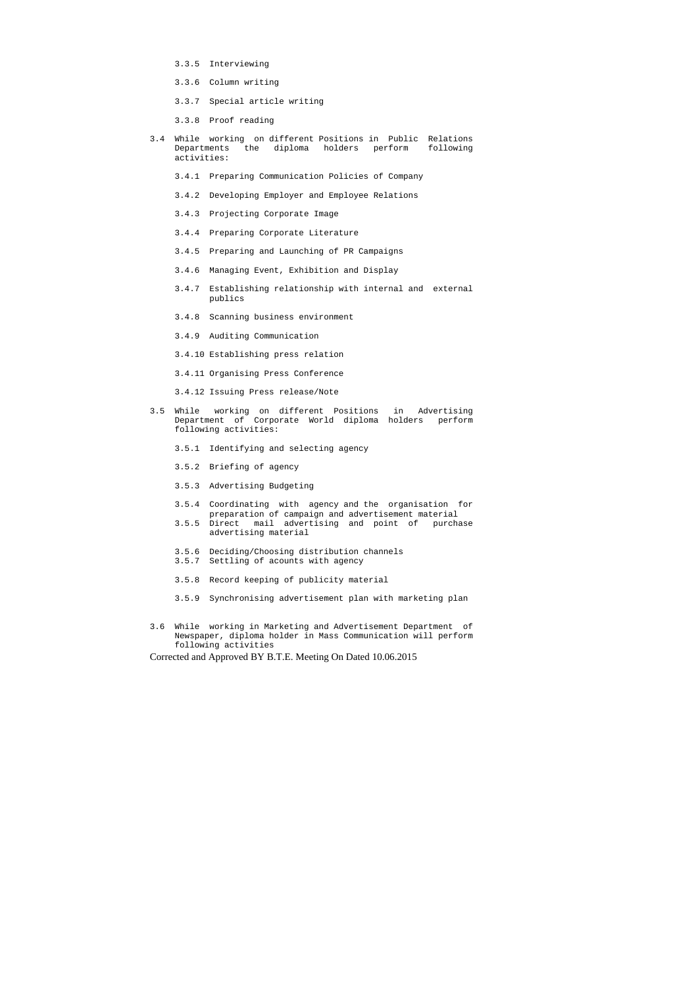- 3.3.5 Interviewing
- 3.3.6 Column writing
- 3.3.7 Special article writing
- 3.3.8 Proof reading
- 3.4 While working on different Positions in Public Relations Departments the diploma holders perform following activities:
	- 3.4.1 Preparing Communication Policies of Company
	- 3.4.2 Developing Employer and Employee Relations
	- 3.4.3 Projecting Corporate Image
	- 3.4.4 Preparing Corporate Literature
	- 3.4.5 Preparing and Launching of PR Campaigns
	- 3.4.6 Managing Event, Exhibition and Display
	- 3.4.7 Establishing relationship with internal and external publics
	- 3.4.8 Scanning business environment
	- 3.4.9 Auditing Communication
	- 3.4.10 Establishing press relation
	- 3.4.11 Organising Press Conference
	- 3.4.12 Issuing Press release/Note
- 3.5 While working on different Positions in Advertising Department of Corporate World diploma holders perform following activities:
	- 3.5.1 Identifying and selecting agency
	- 3.5.2 Briefing of agency
	- 3.5.3 Advertising Budgeting
	- 3.5.4 Coordinating with agency and the organisation for preparation of campaign and advertisement material 3.5.5 Direct mail advertising and point of purchase
	- advertising material
	- 3.5.6 Deciding/Choosing distribution channels
	- 3.5.7 Settling of acounts with agency
	- 3.5.8 Record keeping of publicity material
	- 3.5.9 Synchronising advertisement plan with marketing plan
- 3.6 While working in Marketing and Advertisement Department of Newspaper, diploma holder in Mass Communication will perform following activities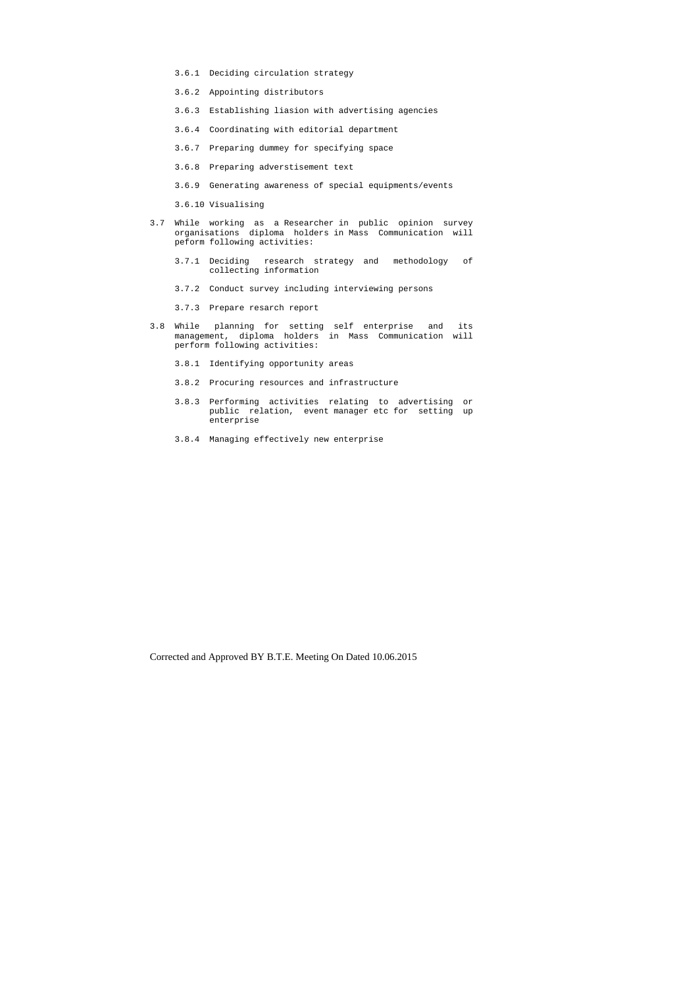- 3.6.1 Deciding circulation strategy
- 3.6.2 Appointing distributors
- 3.6.3 Establishing liasion with advertising agencies
- 3.6.4 Coordinating with editorial department
- 3.6.7 Preparing dummey for specifying space
- 3.6.8 Preparing adverstisement text
- 3.6.9 Generating awareness of special equipments/events
- 3.6.10 Visualising
- 3.7 While working as a Researcher in public opinion survey organisations diploma holders in Mass Communication will peform following activities:
	- 3.7.1 Deciding research strategy and methodology of collecting information
	- 3.7.2 Conduct survey including interviewing persons
	- 3.7.3 Prepare resarch report
- 3.8 While planning for setting self enterprise and its management, diploma holders in Mass Communication will perform following activities:
	- 3.8.1 Identifying opportunity areas
	- 3.8.2 Procuring resources and infrastructure
	- 3.8.3 Performing activities relating to advertising or public relation, event manager etc for setting up enterprise
	- 3.8.4 Managing effectively new enterprise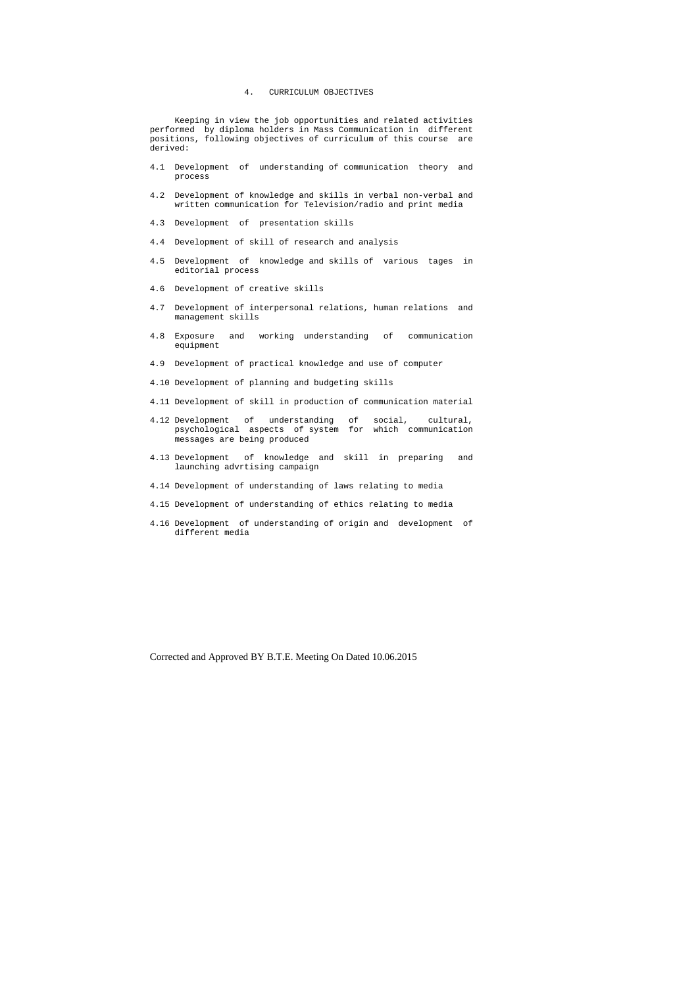# 4. CURRICULUM OBJECTIVES

 Keeping in view the job opportunities and related activities performed by diploma holders in Mass Communication in different positions, following objectives of curriculum of this course are derived:

- 4.1 Development of understanding of communication theory and process
- 4.2 Development of knowledge and skills in verbal non-verbal and written communication for Television/radio and print media
- 4.3 Development of presentation skills
- 4.4 Development of skill of research and analysis
- 4.5 Development of knowledge and skills of various tages in editorial process
- 4.6 Development of creative skills
- 4.7 Development of interpersonal relations, human relations and management skills
- 4.8 Exposure and working understanding of communication equipment
- 4.9 Development of practical knowledge and use of computer
- 4.10 Development of planning and budgeting skills
- 4.11 Development of skill in production of communication material
- 4.12 Development of understanding of social, cultural, psychological aspects of system for which communication messages are being produced
- 4.13 Development of knowledge and skill in preparing and launching advrtising campaign
- 4.14 Development of understanding of laws relating to media
- 4.15 Development of understanding of ethics relating to media
- 4.16 Development of understanding of origin and development of different media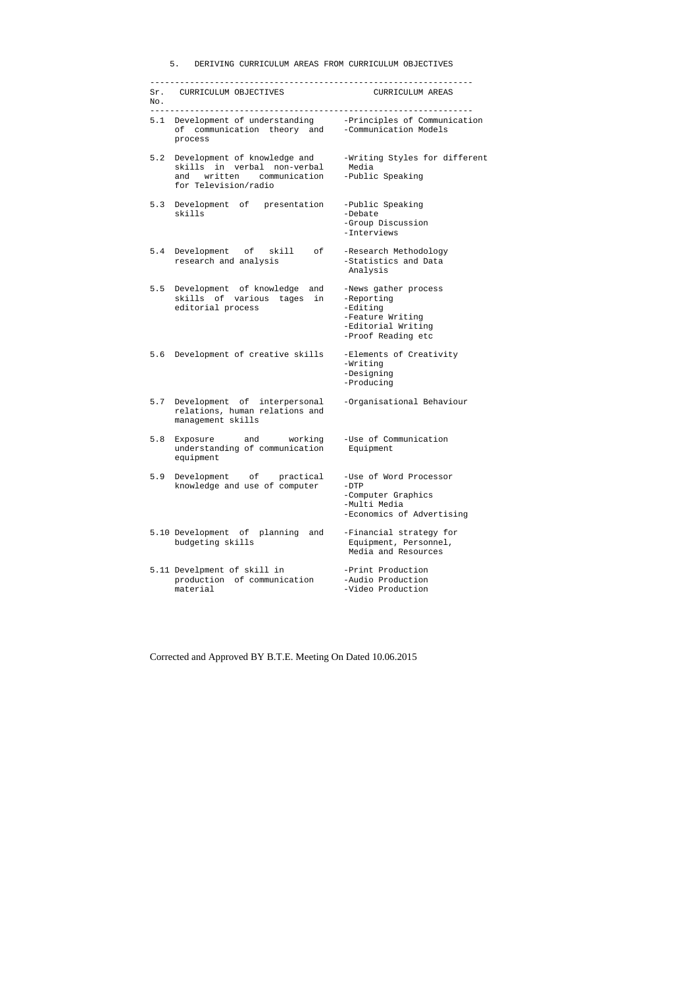# 5. DERIVING CURRICULUM AREAS FROM CURRICULUM OBJECTIVES

| No. | Sr. CURRICULUM OBJECTIVES                                                                                                     | CURRICULUM AREAS                                                                                               |
|-----|-------------------------------------------------------------------------------------------------------------------------------|----------------------------------------------------------------------------------------------------------------|
|     | 5.1 Development of understanding -Principles of Communication<br>of communication theory and -Communication Models<br>process |                                                                                                                |
| 5.2 | Development of knowledge and<br>skills in verbal non-verbal Media<br>and written communication<br>for Television/radio        | -Writing Styles for different<br>-Public Speaking                                                              |
|     | 5.3 Development of presentation<br>skills                                                                                     | -Public Speaking<br>-Debate<br>-Group Discussion<br>-Interviews                                                |
|     | 5.4 Development of skill<br>of<br>research and analysis                                                                       | -Research Methodology<br>-Statistics and Data<br>Analysis                                                      |
| 5.5 | Development of knowledge and<br>skills of various tages<br>in<br>editorial process                                            | -News gather process<br>-Reporting<br>-Editing<br>-Feature Writing<br>-Editorial Writing<br>-Proof Reading etc |
|     | 5.6 Development of creative skills                                                                                            | -Elements of Creativity<br>-Writing<br>-Designing<br>-Producing                                                |
| 5.7 | Development of interpersonal<br>relations, human relations and<br>management skills                                           | -Organisational Behaviour                                                                                      |
| 5.8 | Exposure and working<br>understanding of communication Equipment<br>equipment                                                 | -Use of Communication                                                                                          |
| 5.9 | Development of practical<br>knowledge and use of computer                                                                     | -Use of Word Processor<br>$-DTP$<br>-Computer Graphics<br>-Multi Media<br>-Economics of Advertising            |
|     | 5.10 Development of planning<br>and<br>budgeting skills                                                                       | -Financial strategy for<br>Equipment, Personnel,<br>Media and Resources                                        |
|     | 5.11 Develpment of skill in<br>production of communication<br>material                                                        | -Print Production<br>-Audio Production<br>-Video Production                                                    |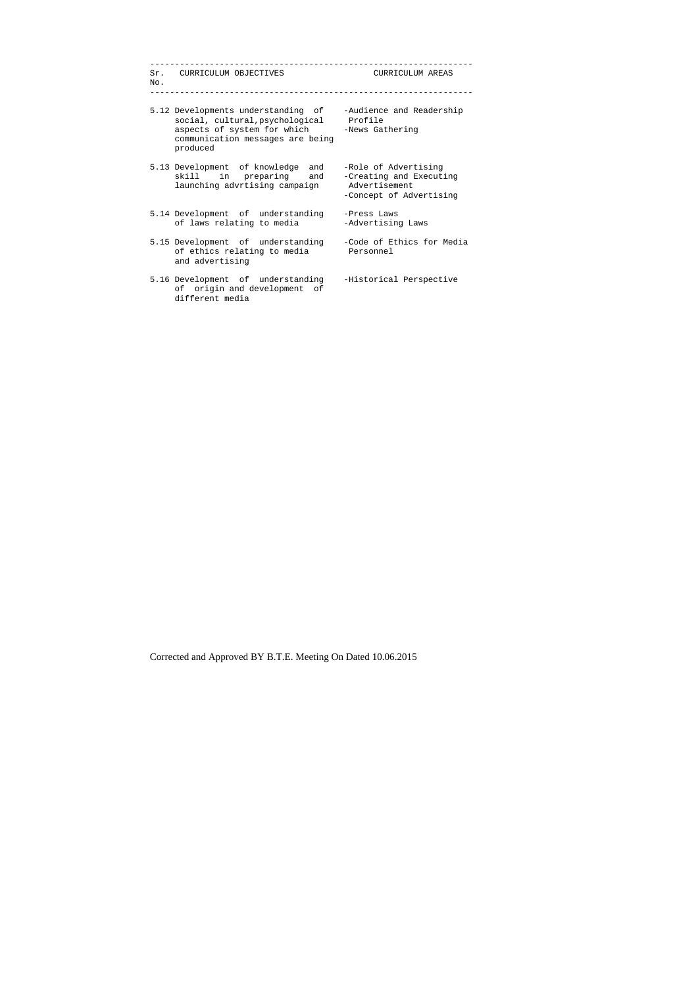| No. | Sr. CURRICULUM OBJECTIVES                                                                                                                                    | CURRICULUM AREAS                                                                            |
|-----|--------------------------------------------------------------------------------------------------------------------------------------------------------------|---------------------------------------------------------------------------------------------|
|     | 5.12 Developments understanding of<br>social, cultural, psychological Profile<br>aspects of system for which<br>communication messages are being<br>produced | -Audience and Readership<br>-News Gathering                                                 |
|     | 5.13 Development of knowledge and<br>skill in preparing and<br>launching advrtising campaign                                                                 | -Role of Advertising<br>-Creating and Executing<br>Advertisement<br>-Concept of Advertising |
|     | 5.14 Development of understanding<br>of laws relating to media                                                                                               | -Press Laws<br>-Advertising Laws                                                            |
|     | 5.15 Development of understanding<br>of ethics relating to media<br>and advertising                                                                          | -Code of Ethics for Media<br>Personnel                                                      |
|     | 5.16 Development of understanding<br>of origin and development of<br>different media                                                                         | -Historical Perspective                                                                     |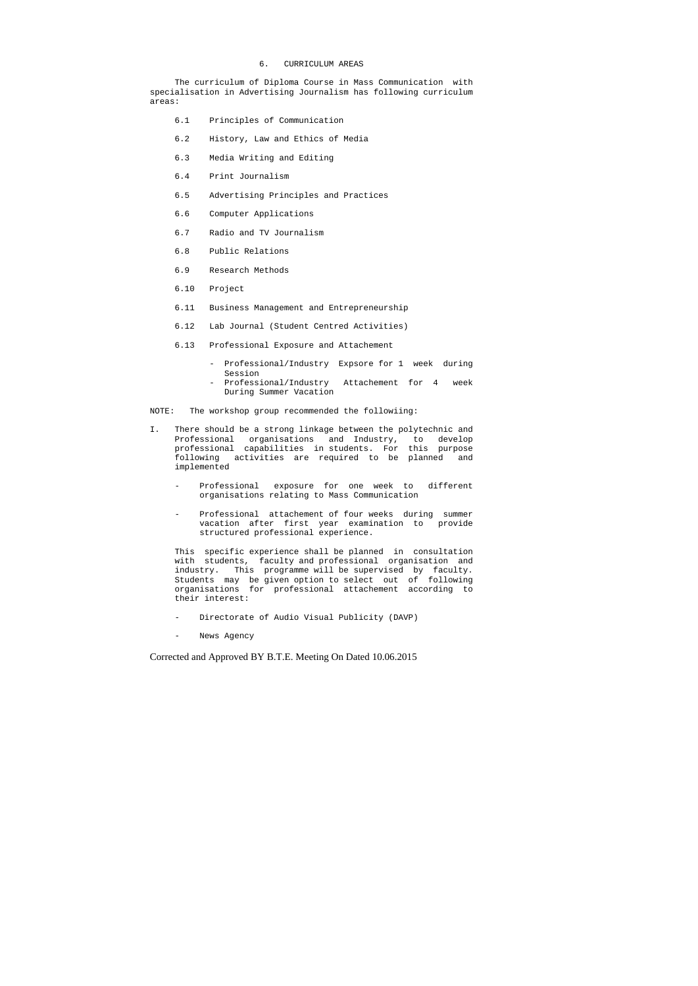6. CURRICULUM AREAS

 The curriculum of Diploma Course in Mass Communication with specialisation in Advertising Journalism has following curriculum areas:

- 6.1 Principles of Communication
- 6.2 History, Law and Ethics of Media
- 6.3 Media Writing and Editing
- 6.4 Print Journalism
- 6.5 Advertising Principles and Practices
- 6.6 Computer Applications
- 6.7 Radio and TV Journalism
- 6.8 Public Relations
- 6.9 Research Methods
- 6.10 Project
- 6.11 Business Management and Entrepreneurship
- 6.12 Lab Journal (Student Centred Activities)
- 6.13 Professional Exposure and Attachement
	- Professional/Industry Expsore for 1 week during Session
	- Professional/Industry Attachement for 4 week During Summer Vacation

NOTE: The workshop group recommended the followiing:

- I. There should be a strong linkage between the polytechnic and Professional organisations and Industry, to develop professional capabilities in students. For this purpose following activities are required to be planned and implemented
	- Professional exposure for one week to different organisations relating to Mass Communication
	- Professional attachement of four weeks during summer vacation after first year examination to provide structured professional experience.

 This specific experience shall be planned in consultation with students, faculty and professional organisation and industry. This programme will be supervised by faculty. Students may be given option to select out of following organisations for professional attachement according to their interest:

- Directorate of Audio Visual Publicity (DAVP)
- News Agency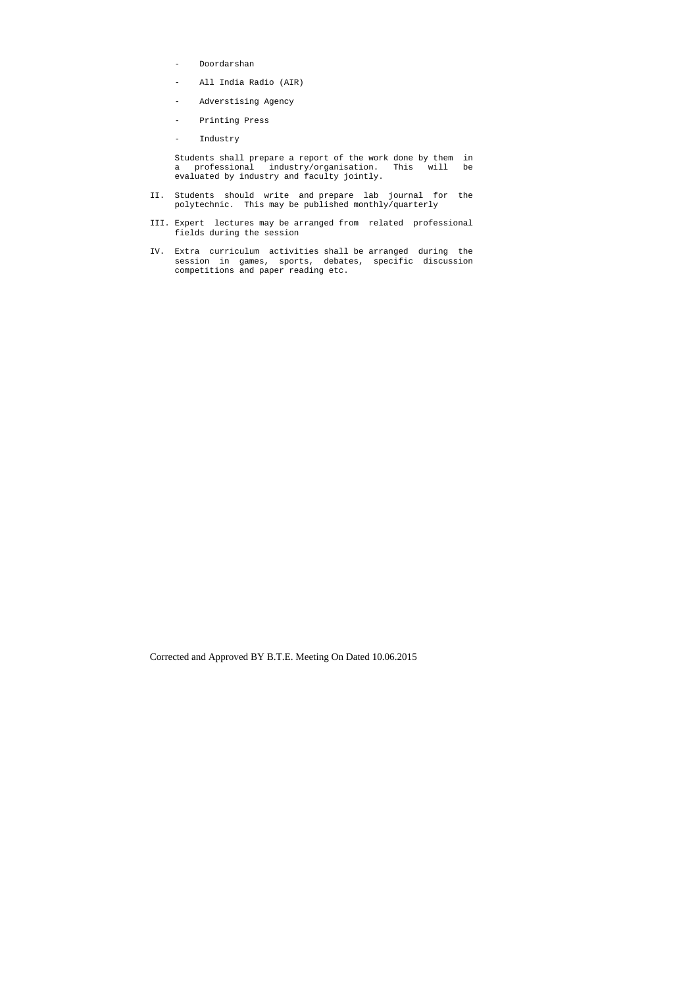- Doordarshan
- All India Radio (AIR)
- Adverstising Agency
- Printing Press
- Industry

 Students shall prepare a report of the work done by them in a professional industry/organisation. This will be evaluated by industry and faculty jointly.

- II. Students should write and prepare lab journal for the polytechnic. This may be published monthly/quarterly
- III. Expert lectures may be arranged from related professional fields during the session
- IV. Extra curriculum activities shall be arranged during the session in games, sports, debates, specific discussion competitions and paper reading etc.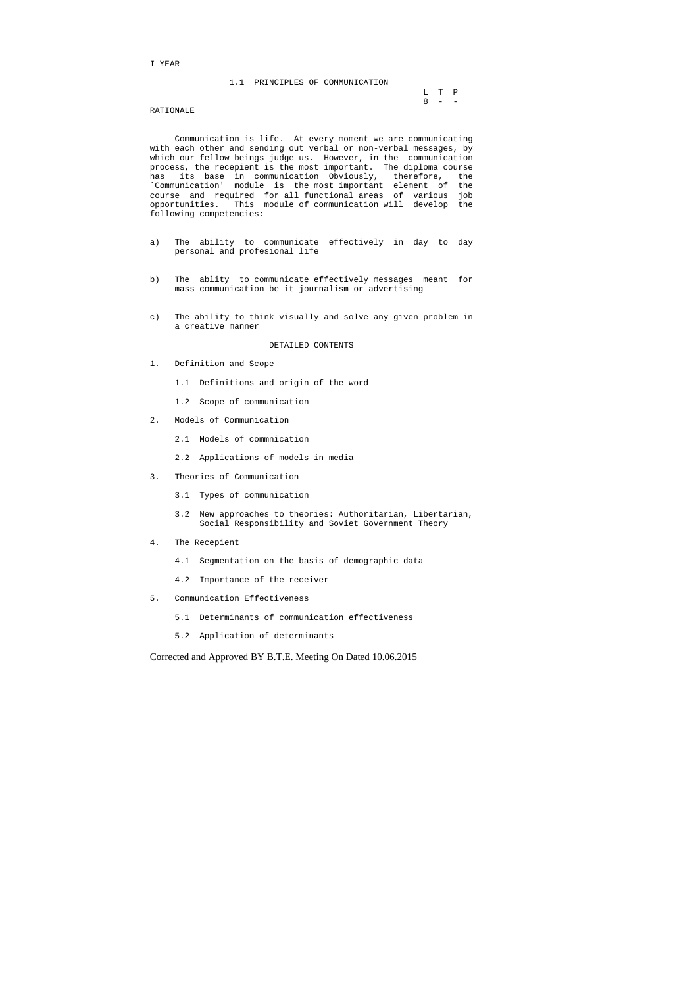#### I YEAR

#### 1.1 PRINCIPLES OF COMMUNICATION

|  | L T P   |  |
|--|---------|--|
|  | $8 - -$ |  |

#### RATIONALE

 Communication is life. At every moment we are communicating with each other and sending out verbal or non-verbal messages, by which our fellow beings judge us. However, in the communication process, the recepient is the most important. The diploma course has its base in communication Obviously, therefore, the `Communication' module is the most important element of the course and required for all functional areas of various job opportunities. This module of communication will develop the following competencies:

- a) The ability to communicate effectively in day to day personal and profesional life
- b) The ablity to communicate effectively messages meant for mass communication be it journalism or advertising
- c) The ability to think visually and solve any given problem in a creative manner

#### DETAILED CONTENTS

- 1. Definition and Scope
	- 1.1 Definitions and origin of the word
	- 1.2 Scope of communication
- 2. Models of Communication
	- 2.1 Models of commnication
	- 2.2 Applications of models in media
- 3. Theories of Communication
	- 3.1 Types of communication
	- 3.2 New approaches to theories: Authoritarian, Libertarian, Social Responsibility and Soviet Government Theory
- 4. The Recepient
	- 4.1 Segmentation on the basis of demographic data
	- 4.2 Importance of the receiver
- 5. Communication Effectiveness
	- 5.1 Determinants of communication effectiveness
	- 5.2 Application of determinants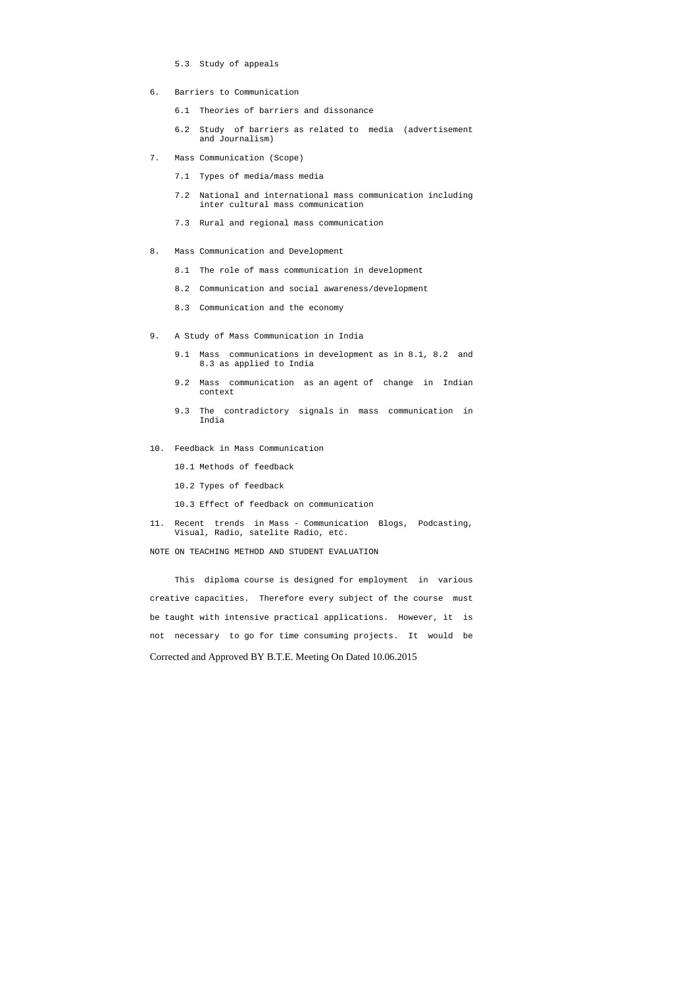- 5.3 Study of appeals
- 6. Barriers to Communication
	- 6.1 Theories of barriers and dissonance
	- 6.2 Study of barriers as related to media (advertisement and Journalism)
- 7. Mass Communication (Scope)
	- 7.1 Types of media/mass media
	- 7.2 National and international mass communication including inter cultural mass communication
	- 7.3 Rural and regional mass communication
- 8. Mass Communication and Development
	- 8.1 The role of mass communication in development
	- 8.2 Communication and social awareness/development
	- 8.3 Communication and the economy
- 9. A Study of Mass Communication in India
	- 9.1 Mass communications in development as in 8.1, 8.2 and 8.3 as applied to India
	- 9.2 Mass communication as an agent of change in Indian context
	- 9.3 The contradictory signals in mass communication in India
- 10. Feedback in Mass Communication
	- 10.1 Methods of feedback
	- 10.2 Types of feedback
	- 10.3 Effect of feedback on communication
- 11. Recent trends in Mass Communication Blogs, Podcasting, Visual, Radio, satelite Radio, etc.
- NOTE ON TEACHING METHOD AND STUDENT EVALUATION

Corrected and Approved BY B.T.E. Meeting On Dated 10.06.2015 This diploma course is designed for employment in various creative capacities. Therefore every subject of the course must be taught with intensive practical applications. However, it is not necessary to go for time consuming projects. It would be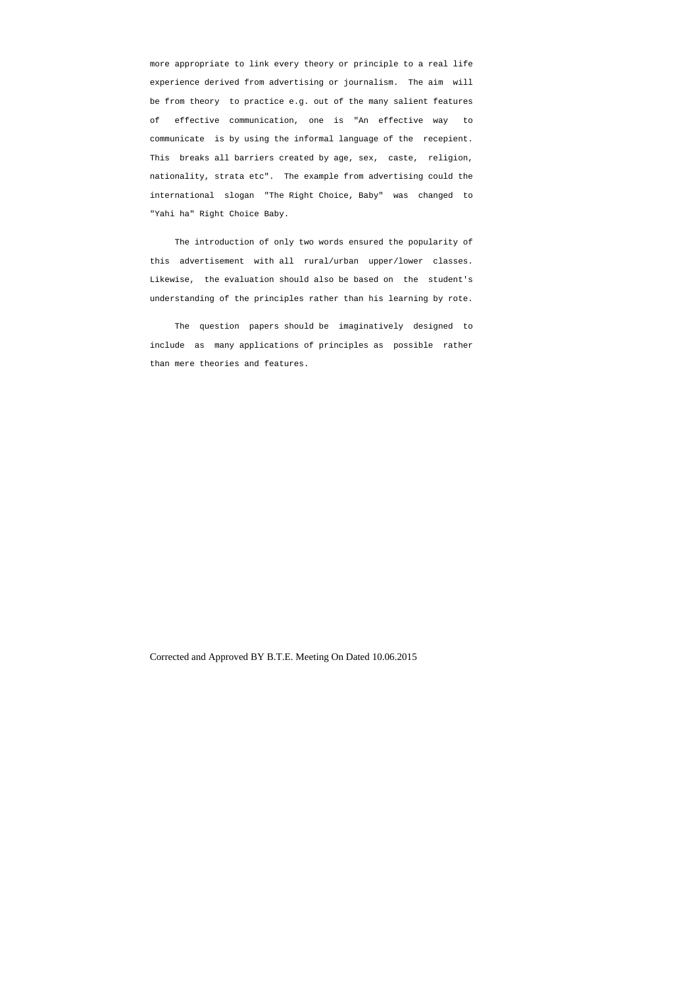more appropriate to link every theory or principle to a real life experience derived from advertising or journalism. The aim will be from theory to practice e.g. out of the many salient features of effective communication, one is "An effective way to communicate is by using the informal language of the recepient. This breaks all barriers created by age, sex, caste, religion, nationality, strata etc". The example from advertising could the international slogan "The Right Choice, Baby" was changed to "Yahi ha" Right Choice Baby.

 The introduction of only two words ensured the popularity of this advertisement with all rural/urban upper/lower classes. Likewise, the evaluation should also be based on the student's understanding of the principles rather than his learning by rote.

 The question papers should be imaginatively designed to include as many applications of principles as possible rather than mere theories and features.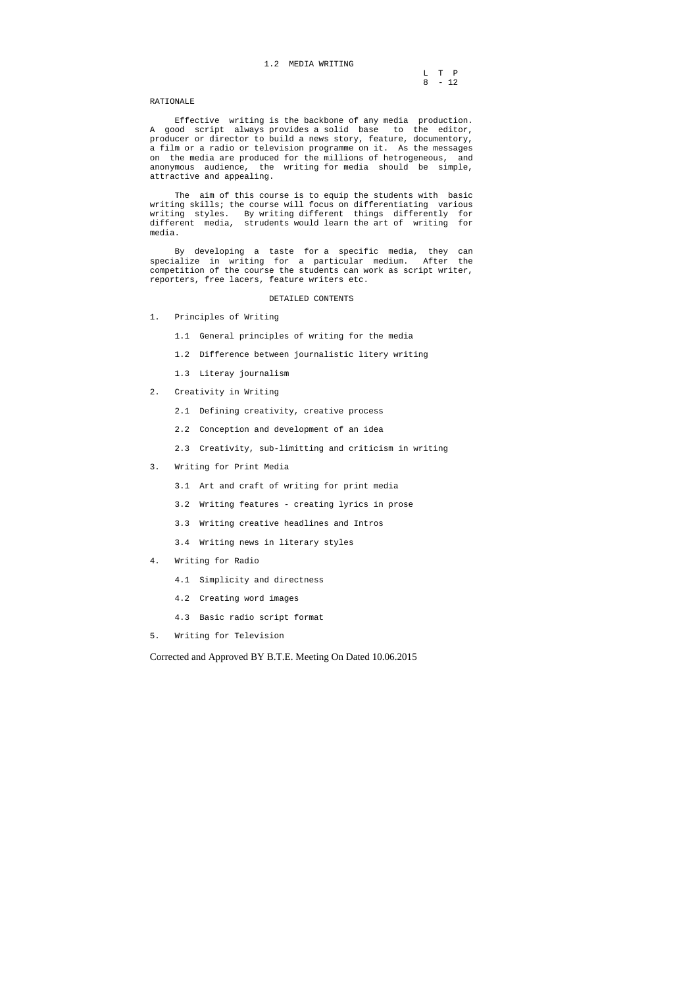# 1.2 MEDIA WRITING

|  | L T P    |
|--|----------|
|  | $8 - 12$ |

#### RATIONALE

 Effective writing is the backbone of any media production. A good script always provides a solid base to the editor, producer or director to build a news story, feature, documentory, a film or a radio or television programme on it. As the messages on the media are produced for the millions of hetrogeneous, and anonymous audience, the writing for media should be simple, attractive and appealing.

 The aim of this course is to equip the students with basic writing skills; the course will focus on differentiating various writing styles. By writing different things differently for different media, strudents would learn the art of writing for media.

 By developing a taste for a specific media, they can specialize in writing for a particular medium. After the competition of the course the students can work as script writer, reporters, free lacers, feature writers etc.

#### DETAILED CONTENTS

- 1. Principles of Writing
	- 1.1 General principles of writing for the media
	- 1.2 Difference between journalistic litery writing
	- 1.3 Literay journalism

#### 2. Creativity in Writing

- 2.1 Defining creativity, creative process
- 2.2 Conception and development of an idea
- 2.3 Creativity, sub-limitting and criticism in writing
- 3. Writing for Print Media
	- 3.1 Art and craft of writing for print media
	- 3.2 Writing features creating lyrics in prose
	- 3.3 Writing creative headlines and Intros
	- 3.4 Writing news in literary styles
- 4. Writing for Radio
	- 4.1 Simplicity and directness
	- 4.2 Creating word images
	- 4.3 Basic radio script format
- 5. Writing for Television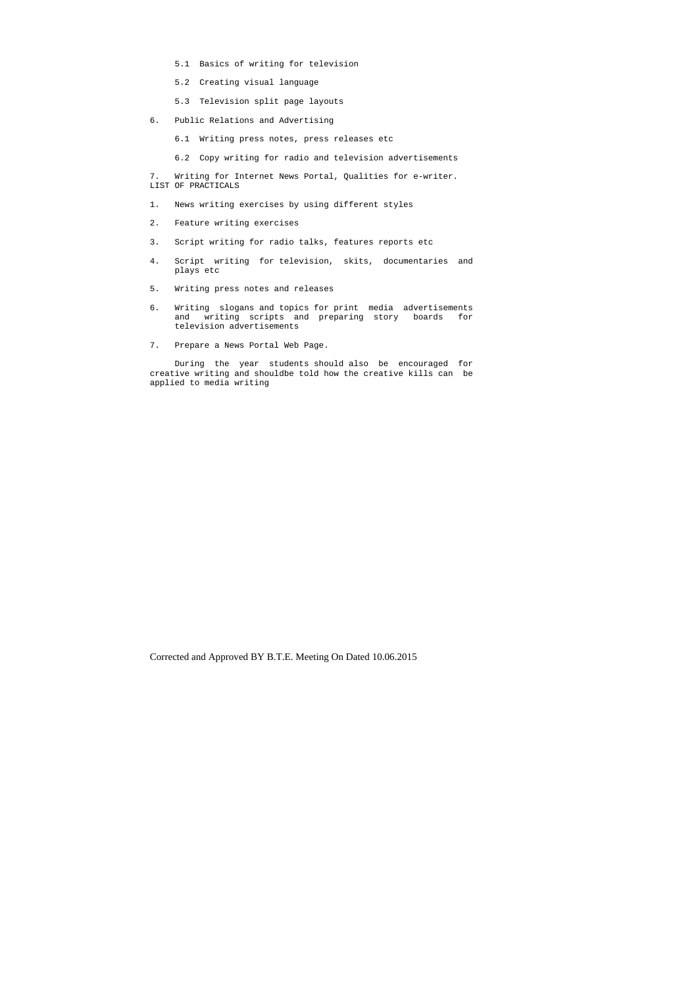- 5.1 Basics of writing for television
- 5.2 Creating visual language
- 5.3 Television split page layouts
- 6. Public Relations and Advertising
	- 6.1 Writing press notes, press releases etc
	- 6.2 Copy writing for radio and television advertisements

7. Writing for Internet News Portal, Qualities for e-writer. LIST OF PRACTICALS

- 1. News writing exercises by using different styles
- 2. Feature writing exercises
- 3. Script writing for radio talks, features reports etc
- 4. Script writing for television, skits, documentaries and plays etc
- 5. Writing press notes and releases
- 6. Writing slogans and topics for print media advertisements and writing scripts and preparing story boards for television advertisements
- 7. Prepare a News Portal Web Page.

 During the year students should also be encouraged for creative writing and shouldbe told how the creative kills can be applied to media writing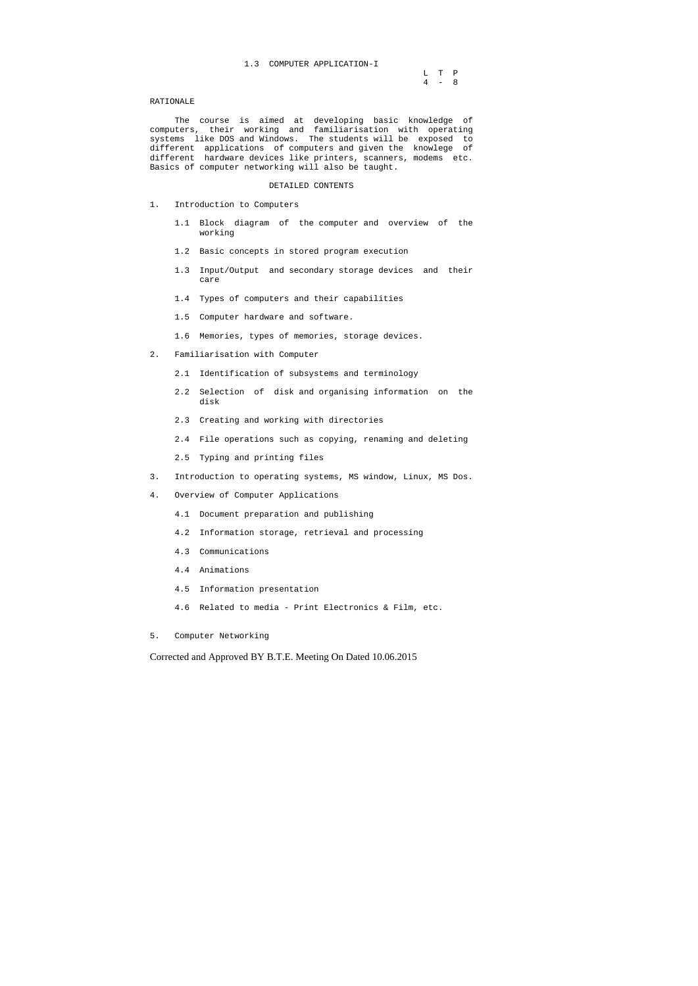|  | L T P   |
|--|---------|
|  | $4 - 8$ |

#### RATIONALE

 The course is aimed at developing basic knowledge of computers, their working and familiarisation with operating systems like DOS and Windows. The students will be exposed to different applications of computers and given the knowlege of different hardware devices like printers, scanners, modems etc. Basics of computer networking will also be taught.

#### DETAILED CONTENTS

- 1. Introduction to Computers
	- 1.1 Block diagram of the computer and overview of the working
	- 1.2 Basic concepts in stored program execution
	- 1.3 Input/Output and secondary storage devices and their care
	- 1.4 Types of computers and their capabilities
	- 1.5 Computer hardware and software.
	- 1.6 Memories, types of memories, storage devices.
- 2. Familiarisation with Computer
	- 2.1 Identification of subsystems and terminology
	- 2.2 Selection of disk and organising information on the disk
	- 2.3 Creating and working with directories
	- 2.4 File operations such as copying, renaming and deleting
	- 2.5 Typing and printing files
- 3. Introduction to operating systems, MS window, Linux, MS Dos.
- 4. Overview of Computer Applications
	- 4.1 Document preparation and publishing
	- 4.2 Information storage, retrieval and processing
	- 4.3 Communications
	- 4.4 Animations
	- 4.5 Information presentation
	- 4.6 Related to media Print Electronics & Film, etc.
- 5. Computer Networking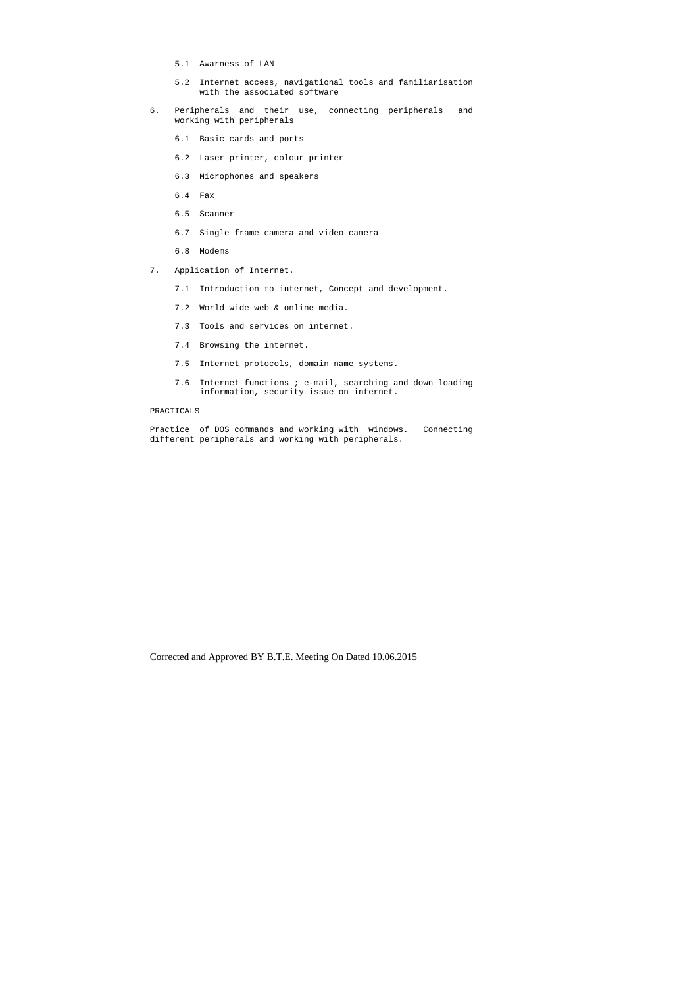- 5.1 Awarness of LAN
- 5.2 Internet access, navigational tools and familiarisation with the associated software
- 6. Peripherals and their use, connecting peripherals and working with peripherals
	- 6.1 Basic cards and ports
	- 6.2 Laser printer, colour printer
	- 6.3 Microphones and speakers
	- 6.4 Fax
	- 6.5 Scanner
	- 6.7 Single frame camera and video camera
	- 6.8 Modems
- 7. Application of Internet.
	- 7.1 Introduction to internet, Concept and development.
	- 7.2 World wide web & online media.
	- 7.3 Tools and services on internet.
	- 7.4 Browsing the internet.
	- 7.5 Internet protocols, domain name systems.
	- 7.6 Internet functions ; e-mail, searching and down loading information, security issue on internet.

#### PRACTICALS

Practice of DOS commands and working with windows. Connecting different peripherals and working with peripherals.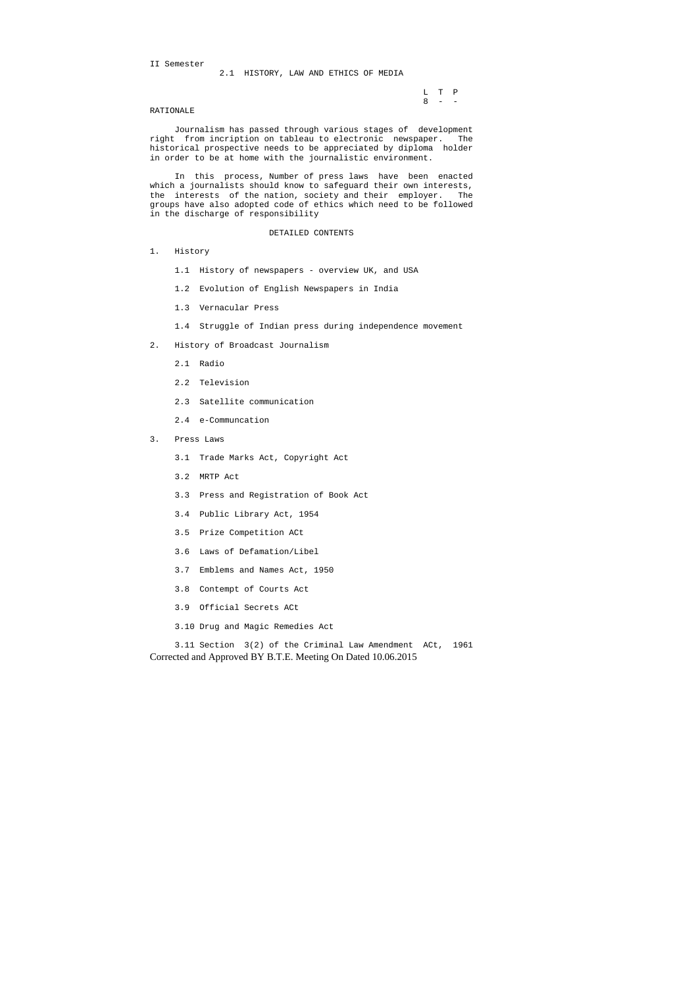L T P  $8 - -$ 

II Semester

2.1 HISTORY, LAW AND ETHICS OF MEDIA

#### RATIONALE

 Journalism has passed through various stages of development right from incription on tableau to electronic newspaper. The historical prospective needs to be appreciated by diploma holder in order to be at home with the journalistic environment.

 In this process, Number of press laws have been enacted which a journalists should know to safeguard their own interests, the interests of the nation, society and their employer. The groups have also adopted code of ethics which need to be followed in the discharge of responsibility

#### DETAILED CONTENTS

Corrected and Approved BY B.T.E. Meeting On Dated 10.06.2015 3.11 Section 3(2) of the Criminal Law Amendment ACt, 1961

- 1. History
	- 1.1 History of newspapers overview UK, and USA
	- 1.2 Evolution of English Newspapers in India
	- 1.3 Vernacular Press
	- 1.4 Struggle of Indian press during independence movement
- 2. History of Broadcast Journalism
	- 2.1 Radio
	- 2.2 Television
	- 2.3 Satellite communication
	- 2.4 e-Communcation
- 3. Press Laws
	- 3.1 Trade Marks Act, Copyright Act
	- 3.2 MRTP Act
	- 3.3 Press and Registration of Book Act
	- 3.4 Public Library Act, 1954
	- 3.5 Prize Competition ACt
	- 3.6 Laws of Defamation/Libel
	- 3.7 Emblems and Names Act, 1950
	- 3.8 Contempt of Courts Act
	- 3.9 Official Secrets ACt
	- 3.10 Drug and Magic Remedies Act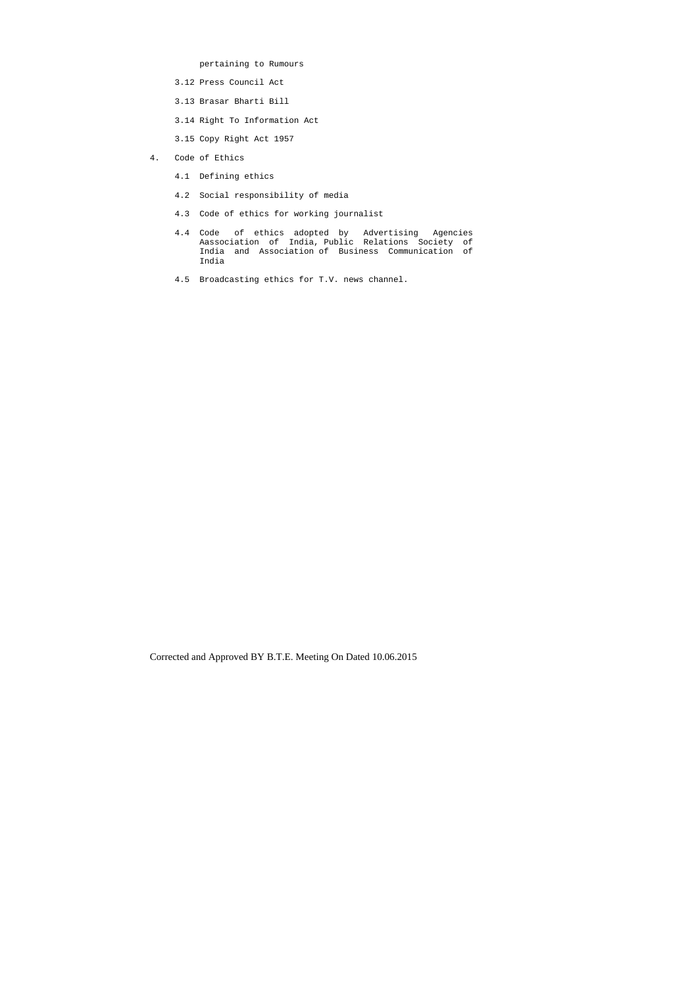pertaining to Rumours

- 3.12 Press Council Act
- 3.13 Brasar Bharti Bill
- 3.14 Right To Information Act
- 3.15 Copy Right Act 1957
- 4. Code of Ethics
	- 4.1 Defining ethics
	- 4.2 Social responsibility of media
	- 4.3 Code of ethics for working journalist
- 4.4 Code of ethics adopted by Advertising Agencies Aassociation of India, Public Relations Society of India and Association of Business Communication of India
	- 4.5 Broadcasting ethics for T.V. news channel.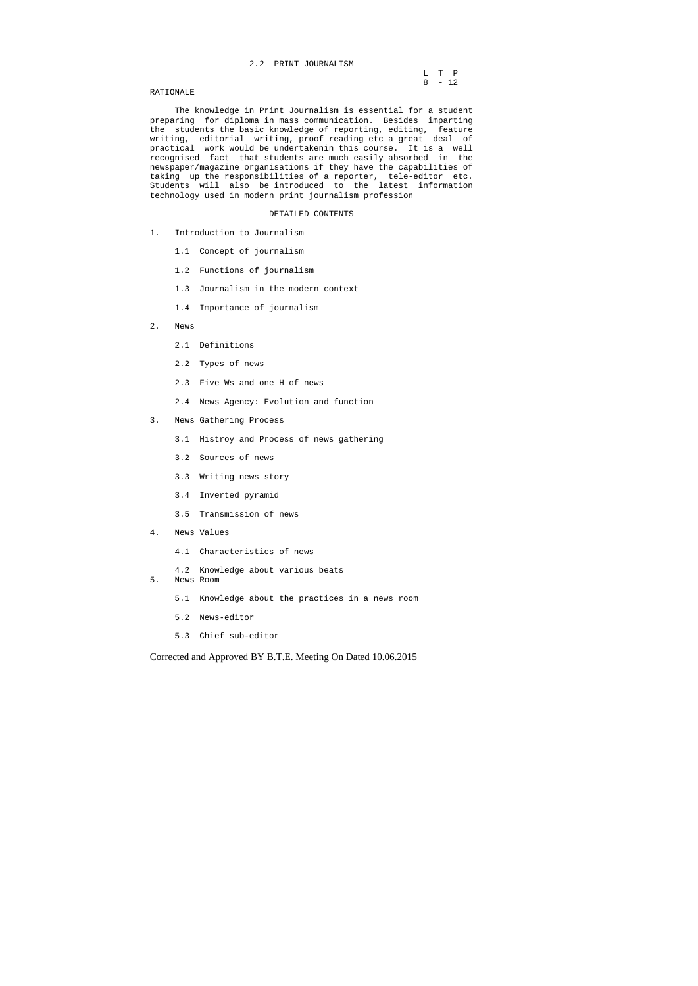# 2.2 PRINT JOURNALISM

|           |  | L T P  |  |
|-----------|--|--------|--|
|           |  |        |  |
|           |  | 8 - 12 |  |
| RATIONALE |  |        |  |

# RATIONALE

 The knowledge in Print Journalism is essential for a student preparing for diploma in mass communication. Besides imparting the students the basic knowledge of reporting, editing, feature writing, editorial writing, proof reading etc a great deal of practical work would be undertakenin this course. It is a well recognised fact that students are much easily absorbed in the newspaper/magazine organisations if they have the capabilities of taking up the responsibilities of a reporter, tele-editor etc. Students will also be introduced to the latest information technology used in modern print journalism profession

#### DETAILED CONTENTS

- 1. Introduction to Journalism
	- 1.1 Concept of journalism
	- 1.2 Functions of journalism
	- 1.3 Journalism in the modern context
	- 1.4 Importance of journalism
- 2. News
	- 2.1 Definitions
	- 2.2 Types of news
	- 2.3 Five Ws and one H of news
	- 2.4 News Agency: Evolution and function
- 3. News Gathering Process
	- 3.1 Histroy and Process of news gathering
	- 3.2 Sources of news
	- 3.3 Writing news story
	- 3.4 Inverted pyramid
	- 3.5 Transmission of news
- 4. News Values
	- 4.1 Characteristics of news
	- 4.2 Knowledge about various beats
- 5. News Room
	- 5.1 Knowledge about the practices in a news room
	- 5.2 News-editor
	- 5.3 Chief sub-editor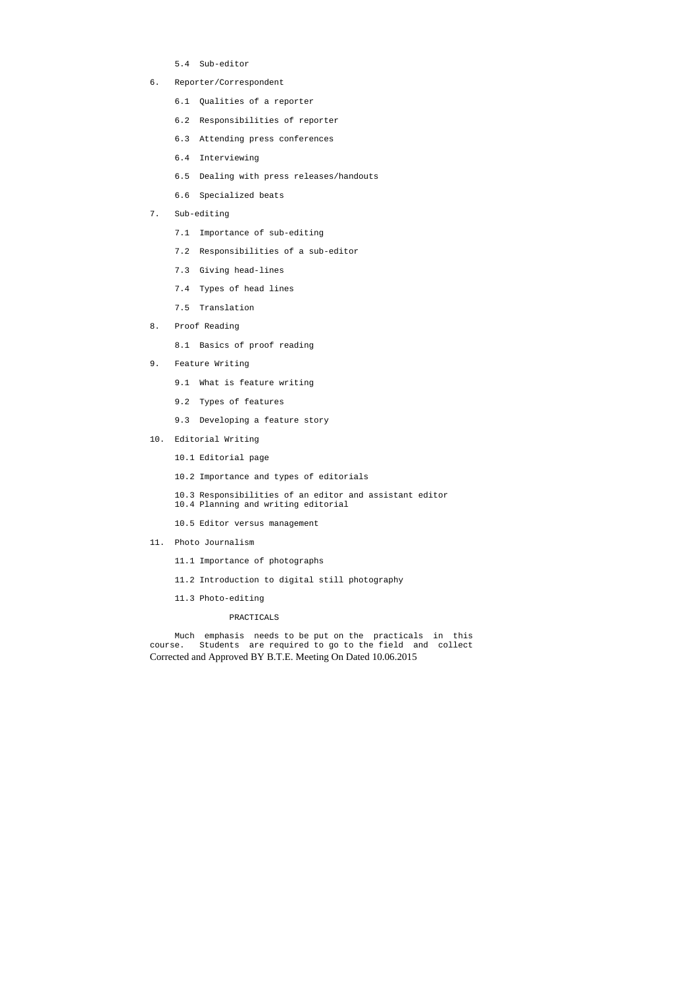- 5.4 Sub-editor
- 6. Reporter/Correspondent
	- 6.1 Qualities of a reporter
	- 6.2 Responsibilities of reporter
	- 6.3 Attending press conferences
	- 6.4 Interviewing
	- 6.5 Dealing with press releases/handouts
	- 6.6 Specialized beats
- 7. Sub-editing
	- 7.1 Importance of sub-editing
	- 7.2 Responsibilities of a sub-editor
	- 7.3 Giving head-lines
	- 7.4 Types of head lines
	- 7.5 Translation
- 8. Proof Reading
	- 8.1 Basics of proof reading
- 9. Feature Writing
	- 9.1 What is feature writing
	- 9.2 Types of features
	- 9.3 Developing a feature story
- 10. Editorial Writing
	- 10.1 Editorial page
	- 10.2 Importance and types of editorials

Corrected and Approved BY B.T.E. Meeting On Dated 10.06.2015 Much emphasis needs to be put on the practicals in this course. Students are required to go to the field and collect

 10.3 Responsibilities of an editor and assistant editor 10.4 Planning and writing editorial

- 10.5 Editor versus management
- 11. Photo Journalism
	- 11.1 Importance of photographs
	- 11.2 Introduction to digital still photography
	- 11.3 Photo-editing

# PRACTICALS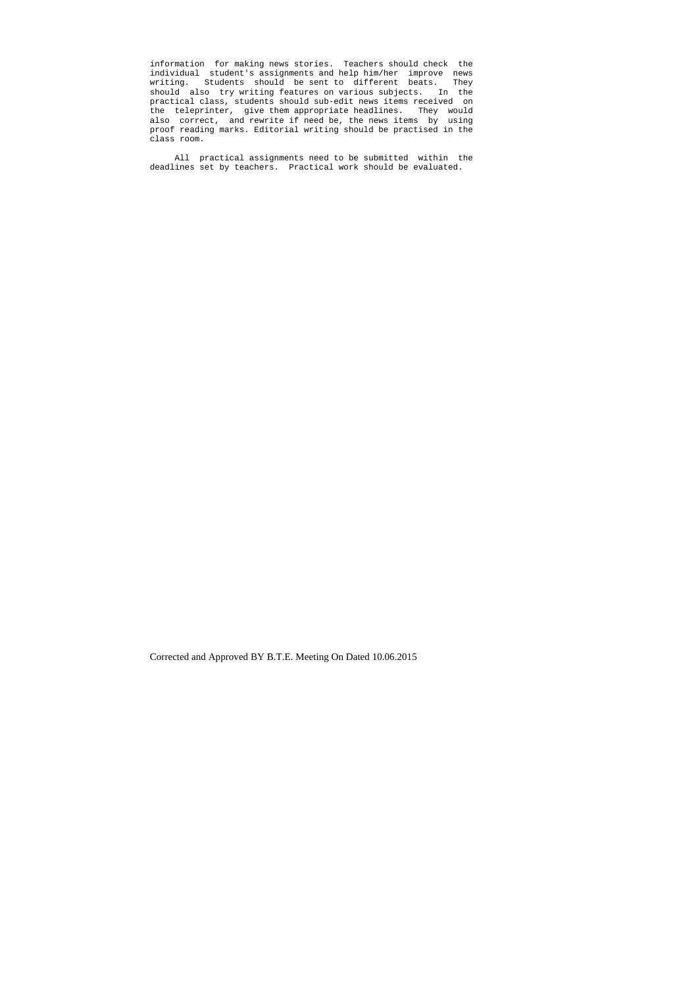information for making news stories. Teachers should check the individual student's assignments and help him/her improve news writing. Students should be sent to different beats. They should also try writing features on various subjects. In the practical class, students should sub-edit news items received on the teleprinter, give them appropriate headlines. They would also correct, and rewrite if need be, the news items by using proof reading marks. Editorial writing should be practised in the class room.

 All practical assignments need to be submitted within the deadlines set by teachers. Practical work should be evaluated.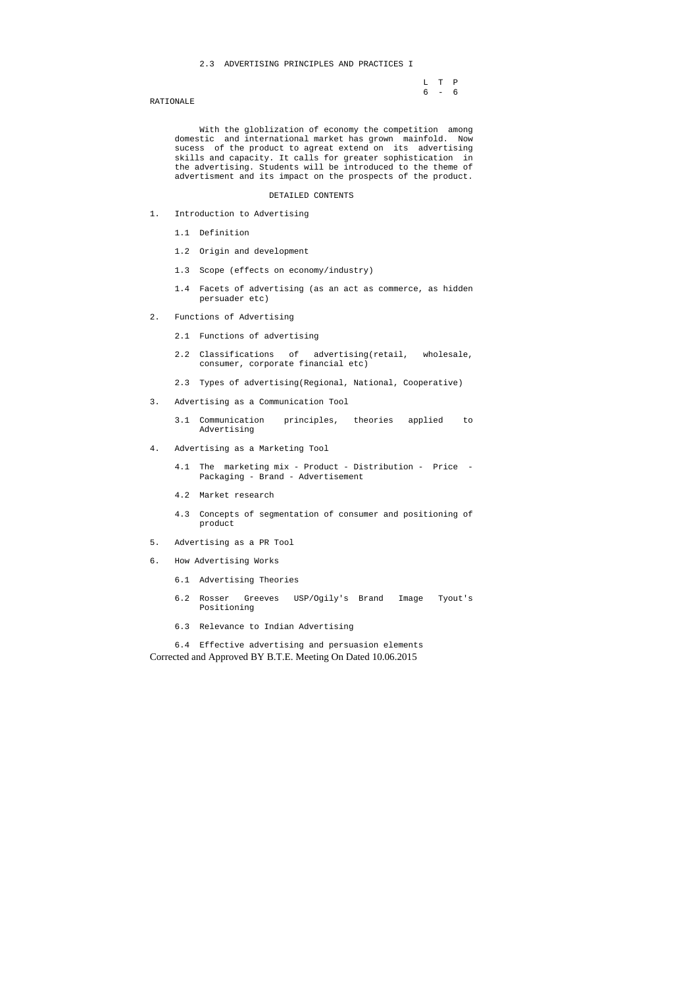#### 2.3 ADVERTISING PRINCIPLES AND PRACTICES I

L T P<br>6 – 6  $6 - 6$ 

#### RATIONALE

 With the globlization of economy the competition among domestic and international market has grown mainfold. Now sucess of the product to agreat extend on its advertising skills and capacity. It calls for greater sophistication in the advertising. Students will be introduced to the theme of advertisment and its impact on the prospects of the product.

#### DETAILED CONTENTS

Corrected and Approved BY B.T.E. Meeting On Dated 10.06.2015 6.4 Effective advertising and persuasion elements

- 1. Introduction to Advertising
	- 1.1 Definition
	- 1.2 Origin and development
	- 1.3 Scope (effects on economy/industry)
	- 1.4 Facets of advertising (as an act as commerce, as hidden persuader etc)
- 2. Functions of Advertising
	- 2.1 Functions of advertising
	- 2.2 Classifications of advertising(retail, wholesale, consumer, corporate financial etc)
	- 2.3 Types of advertising(Regional, National, Cooperative)
- 3. Advertising as a Communication Tool
	- 3.1 Communication principles, theories applied to Advertising
- 4. Advertising as a Marketing Tool
	- 4.1 The marketing mix Product Distribution Price Packaging - Brand - Advertisement
	- 4.2 Market research
	- 4.3 Concepts of segmentation of consumer and positioning of product
- 5. Advertising as a PR Tool
- 6. How Advertising Works
	- 6.1 Advertising Theories
	- 6.2 Rosser Greeves USP/Ogily's Brand Image Tyout's Positioning
	- 6.3 Relevance to Indian Advertising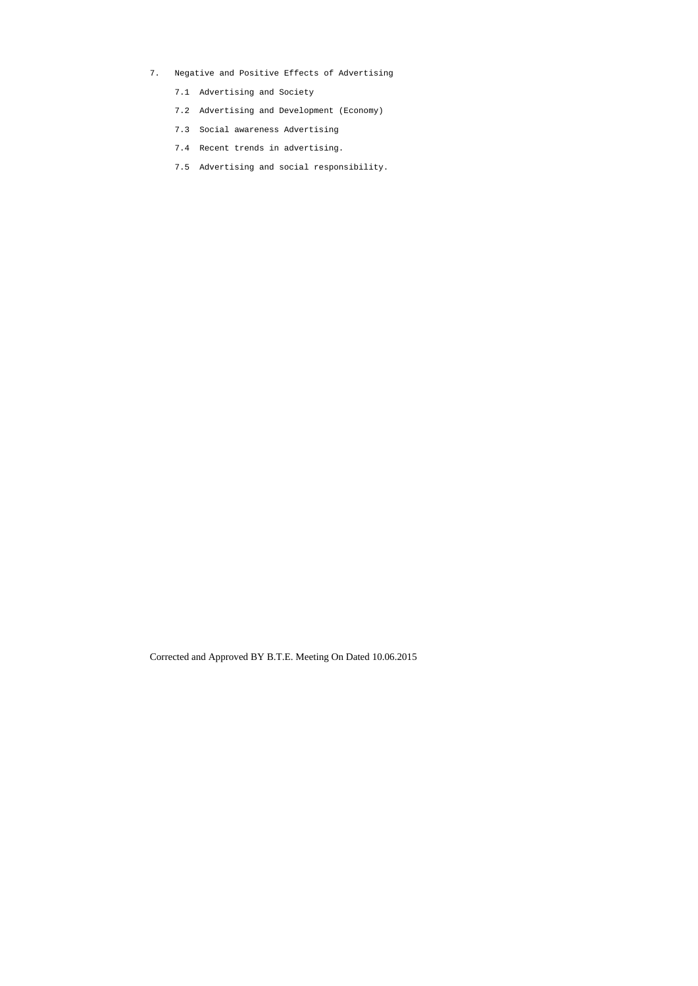- 7. Negative and Positive Effects of Advertising
	- 7.1 Advertising and Society
	- 7.2 Advertising and Development (Economy)
	- 7.3 Social awareness Advertising
	- 7.4 Recent trends in advertising.
	- 7.5 Advertising and social responsibility.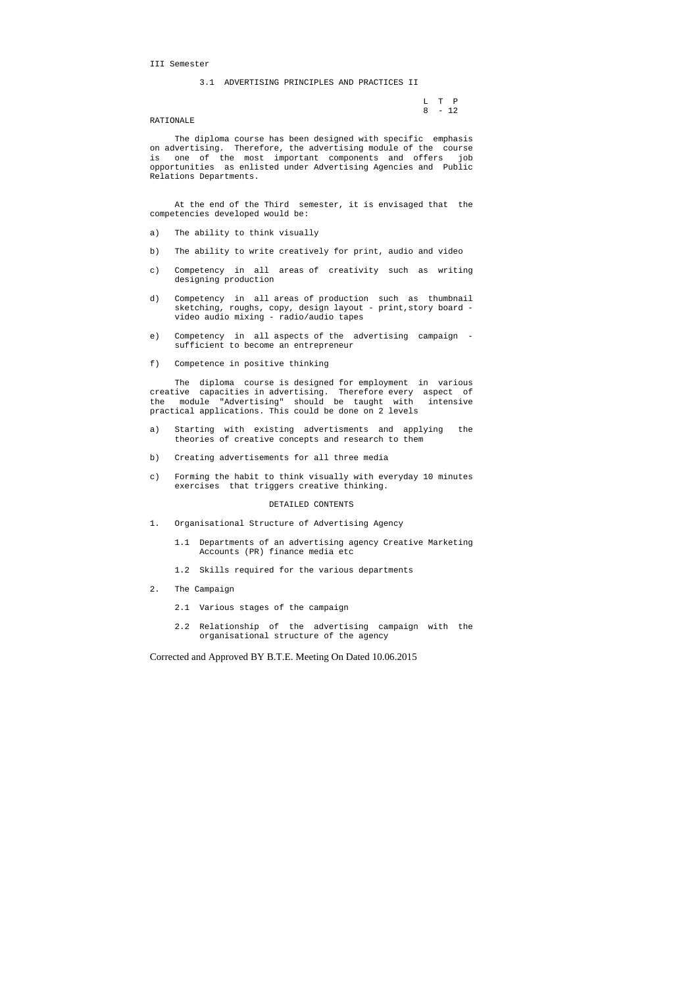III Semester

3.1 ADVERTISING PRINCIPLES AND PRACTICES II

 L T P 8 - 12

#### RATIONALE

 The diploma course has been designed with specific emphasis on advertising. Therefore, the advertising module of the course is one of the most important components and offers job opportunities as enlisted under Advertising Agencies and Public Relations Departments.

 At the end of the Third semester, it is envisaged that the competencies developed would be:

- a) The ability to think visually
- b) The ability to write creatively for print, audio and video
- c) Competency in all areas of creativity such as writing designing production
- d) Competency in all areas of production such as thumbnail sketching, roughs, copy, design layout - print, story board video audio mixing - radio/audio tapes
- e) Competency in all aspects of the advertising campaign sufficient to become an entrepreneur
- f) Competence in positive thinking

 The diploma course is designed for employment in various creative capacities in advertising. Therefore every aspect of the module "Advertising" should be taught with intensive practical applications. This could be done on 2 levels

- a) Starting with existing advertisments and applying the theories of creative concepts and research to them
- b) Creating advertisements for all three media
- c) Forming the habit to think visually with everyday 10 minutes exercises that triggers creative thinking.

#### DETAILED CONTENTS

- 1. Organisational Structure of Advertising Agency
	- 1.1 Departments of an advertising agency Creative Marketing Accounts (PR) finance media etc
	- 1.2 Skills required for the various departments
- 2. The Campaign
	- 2.1 Various stages of the campaign
	- 2.2 Relationship of the advertising campaign with the organisational structure of the agency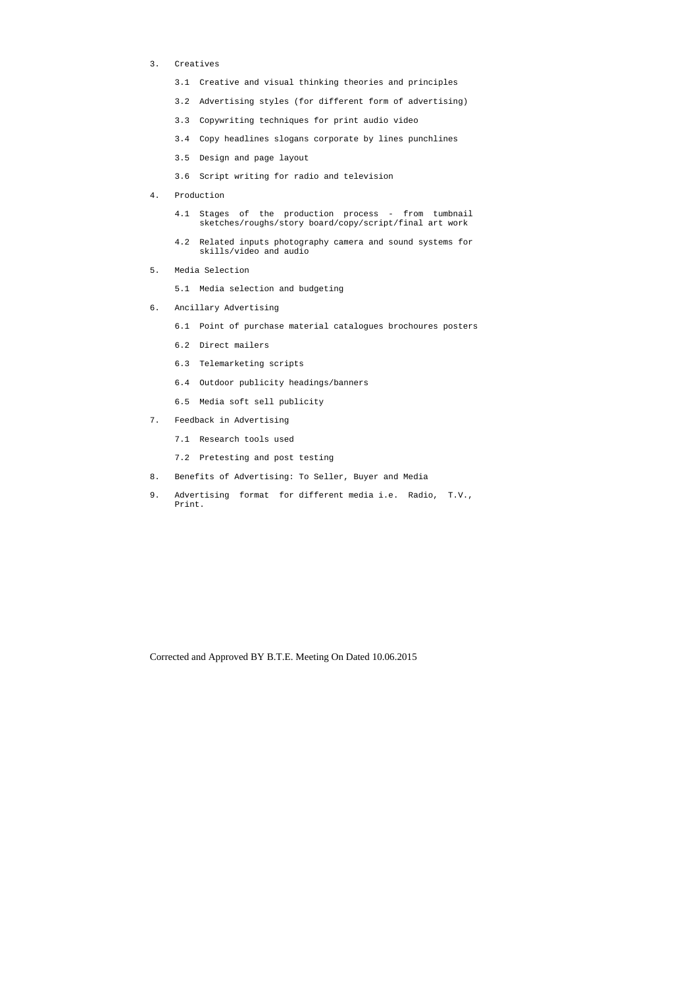- 3. Creatives
	- 3.1 Creative and visual thinking theories and principles
	- 3.2 Advertising styles (for different form of advertising)
	- 3.3 Copywriting techniques for print audio video
	- 3.4 Copy headlines slogans corporate by lines punchlines
	- 3.5 Design and page layout
	- 3.6 Script writing for radio and television
- 4. Production
	- 4.1 Stages of the production process from tumbnail sketches/roughs/story board/copy/script/final art work
	- 4.2 Related inputs photography camera and sound systems for skills/video and audio
- 5. Media Selection
	- 5.1 Media selection and budgeting
- 6. Ancillary Advertising
	- 6.1 Point of purchase material catalogues brochoures posters
	- 6.2 Direct mailers
	- 6.3 Telemarketing scripts
	- 6.4 Outdoor publicity headings/banners
	- 6.5 Media soft sell publicity
- 7. Feedback in Advertising
	- 7.1 Research tools used
	- 7.2 Pretesting and post testing
- 8. Benefits of Advertising: To Seller, Buyer and Media
- 9. Advertising format for different media i.e. Radio, T.V., Print.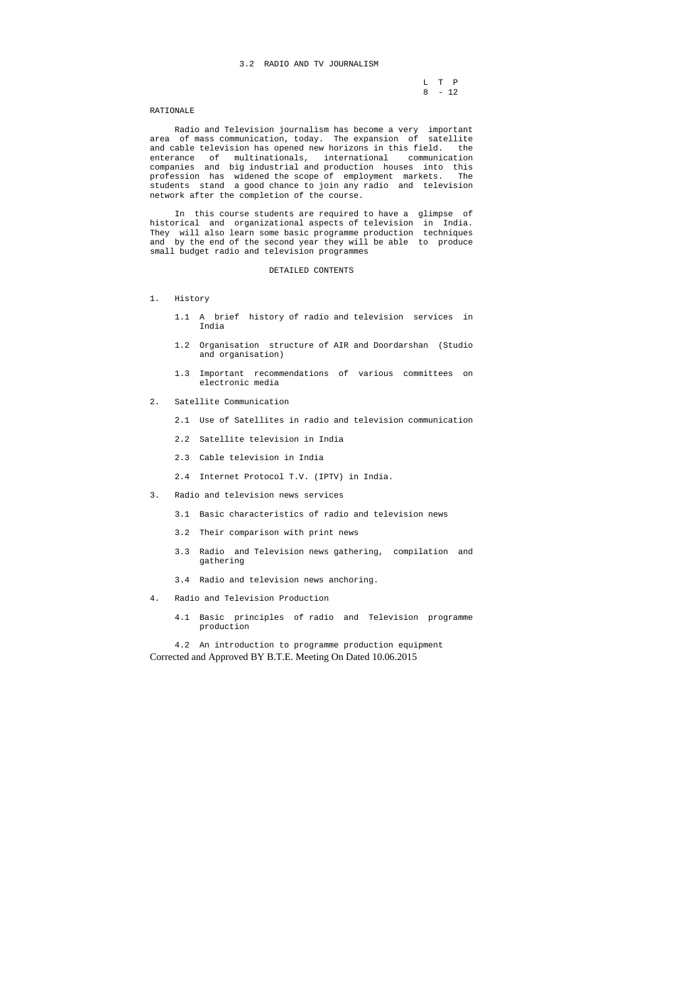#### 3.2 RADIO AND TV JOURNALISM

 L T P 8 - 12

#### RATIONALE

 Radio and Television journalism has become a very important area of mass communication, today. The expansion of satellite and cable television has opened new horizons in this field. the enterance of multinationals, international communication companies and big industrial and production houses into this profession has widened the scope of employment markets. The students stand a good chance to join any radio and television network after the completion of the course.

 In this course students are required to have a glimpse of historical and organizational aspects of television in India. They will also learn some basic programme production techniques and by the end of the second year they will be able to produce small budget radio and television programmes

Corrected and Approved BY B.T.E. Meeting On Dated 10.06.2015 4.2 An introduction to programme production equipment

#### DETAILED CONTENTS

#### 1. History

- 1.1 A brief history of radio and television services in India
- 1.2 Organisation structure of AIR and Doordarshan (Studio and organisation)
- 1.3 Important recommendations of various committees on electronic media
- 2. Satellite Communication
	- 2.1 Use of Satellites in radio and television communication
	- 2.2 Satellite television in India
	- 2.3 Cable television in India
	- 2.4 Internet Protocol T.V. (IPTV) in India.
- 3. Radio and television news services
	- 3.1 Basic characteristics of radio and television news
	- 3.2 Their comparison with print news
	- 3.3 Radio and Television news gathering, compilation and gathering
	- 3.4 Radio and television news anchoring.
- 4. Radio and Television Production
	- 4.1 Basic principles of radio and Television programme production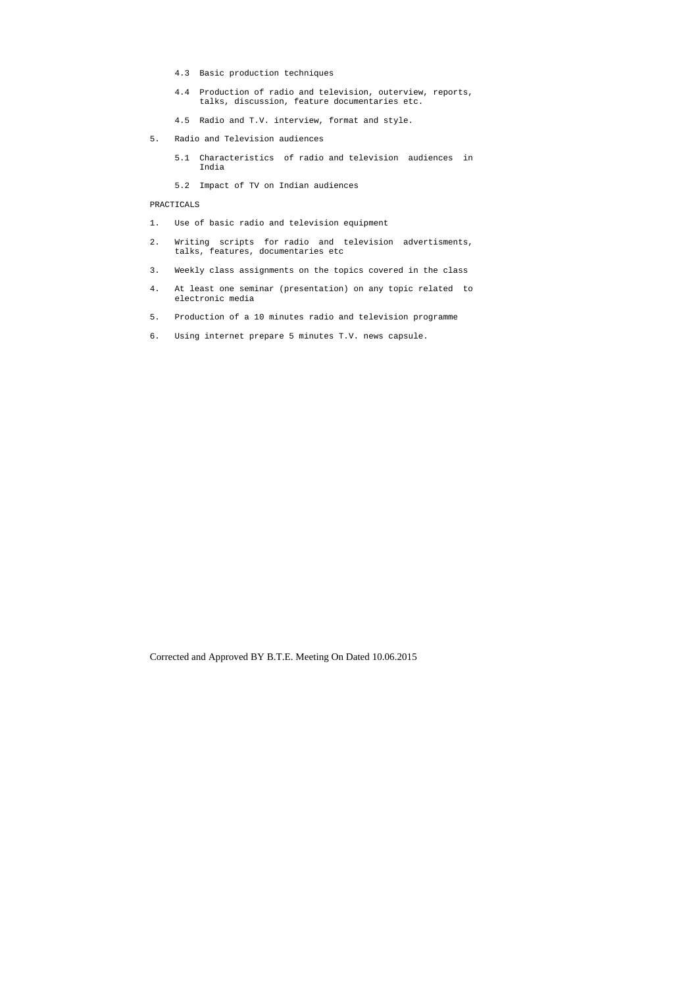- 4.3 Basic production techniques
- 4.4 Production of radio and television, outerview, reports, talks, discussion, feature documentaries etc.
- 4.5 Radio and T.V. interview, format and style.
- 5. Radio and Television audiences
	- 5.1 Characteristics of radio and television audiences in India
	- 5.2 Impact of TV on Indian audiences

# PRACTICALS

- 1. Use of basic radio and television equipment
- 2. Writing scripts for radio and television advertisments, talks, features, documentaries etc
- 3. Weekly class assignments on the topics covered in the class
- 4. At least one seminar (presentation) on any topic related to electronic media
- 5. Production of a 10 minutes radio and television programme
- 6. Using internet prepare 5 minutes T.V. news capsule.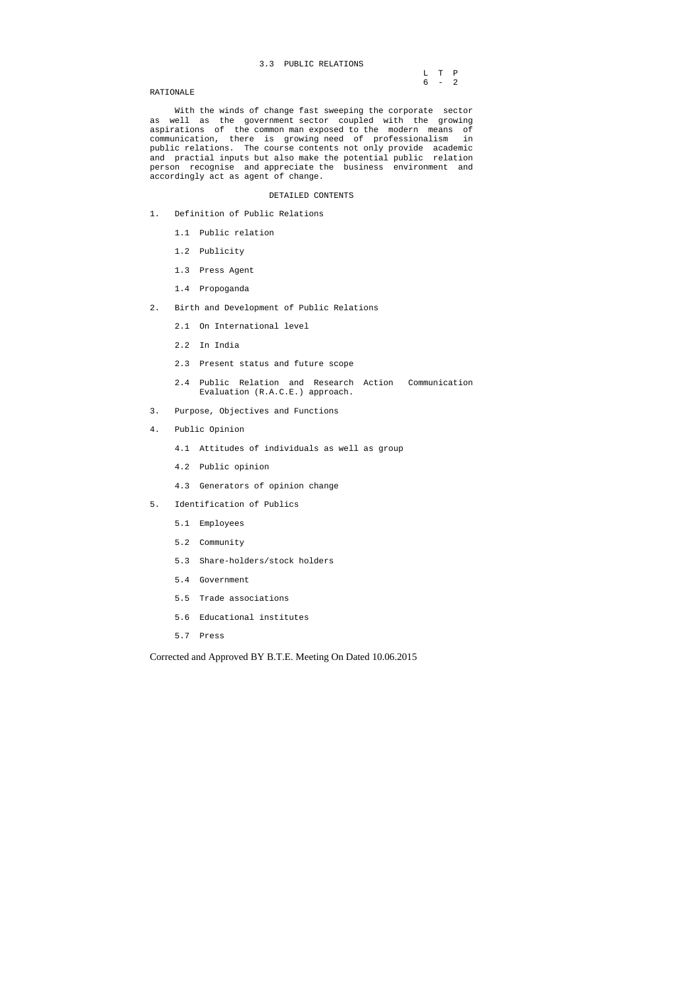# 3.3 PUBLIC RELATIONS

|  | L T P   |  |
|--|---------|--|
|  | $6 - 2$ |  |

#### RATIONALE

 With the winds of change fast sweeping the corporate sector as well as the government sector coupled with the growing aspirations of the common man exposed to the modern means of communication, there is growing need of professionalism in public relations. The course contents not only provide academic and practial inputs but also make the potential public relation person recognise and appreciate the business environment and accordingly act as agent of change.

#### DETAILED CONTENTS

- 1. Definition of Public Relations
	- 1.1 Public relation
	- 1.2 Publicity
	- 1.3 Press Agent
	- 1.4 Propoganda
- 2. Birth and Development of Public Relations
	- 2.1 On International level
	- 2.2 In India
	- 2.3 Present status and future scope
	- 2.4 Public Relation and Research Action Communication Evaluation (R.A.C.E.) approach.
- 3. Purpose, Objectives and Functions
- 4. Public Opinion
	- 4.1 Attitudes of individuals as well as group
	- 4.2 Public opinion
	- 4.3 Generators of opinion change
- 5. Identification of Publics
	- 5.1 Employees
	- 5.2 Community
	- 5.3 Share-holders/stock holders
	- 5.4 Government
	- 5.5 Trade associations
	- 5.6 Educational institutes
	- 5.7 Press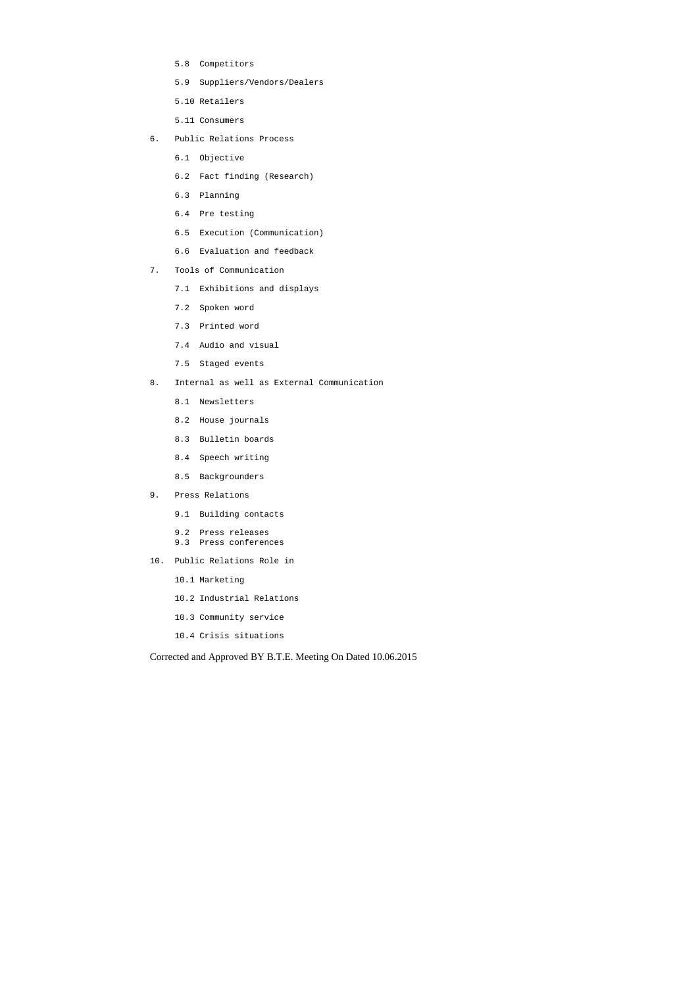- 5.8 Competitors
- 5.9 Suppliers/Vendors/Dealers
- 5.10 Retailers
- 5.11 Consumers
- 6. Public Relations Process
	- 6.1 Objective
	- 6.2 Fact finding (Research)
	- 6.3 Planning
	- 6.4 Pre testing
	- 6.5 Execution (Communication)
	- 6.6 Evaluation and feedback
- 7. Tools of Communication
	- 7.1 Exhibitions and displays
	- 7.2 Spoken word
	- 7.3 Printed word
	- 7.4 Audio and visual
	- 7.5 Staged events
- 8. Internal as well as External Communication
	- 8.1 Newsletters
	- 8.2 House journals
	- 8.3 Bulletin boards
	- 8.4 Speech writing
	- 8.5 Backgrounders
- 9. Press Relations
	- 9.1 Building contacts
	- 9.2 Press releases
	- 9.3 Press conferences
- 10. Public Relations Role in
	- 10.1 Marketing
	- 10.2 Industrial Relations
	- 10.3 Community service
	- 10.4 Crisis situations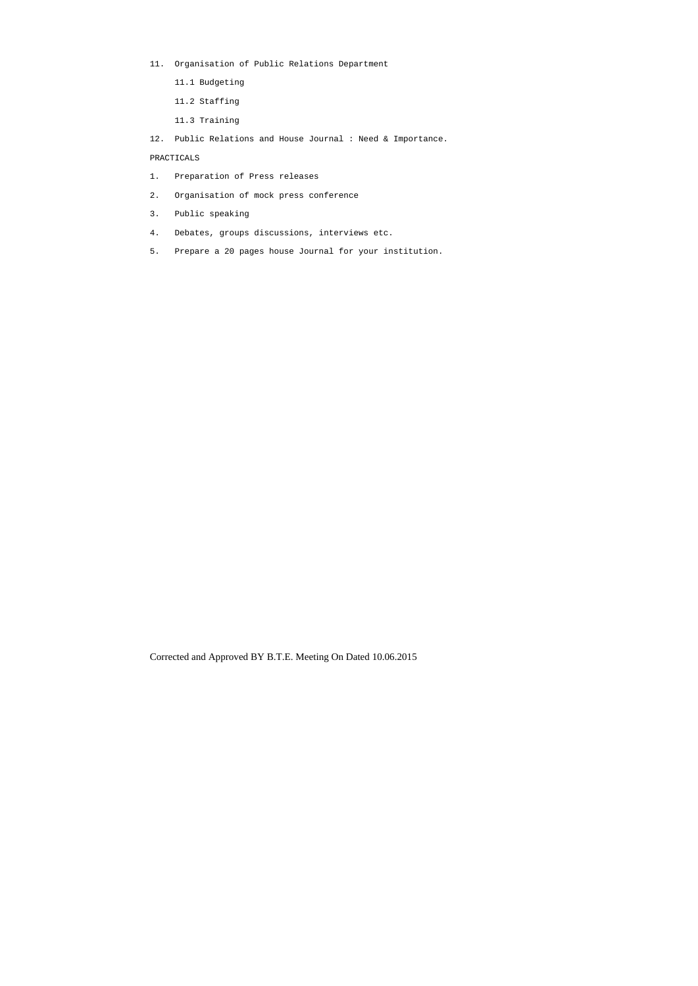- 11. Organisation of Public Relations Department
	- 11.1 Budgeting
	- 11.2 Staffing
	- 11.3 Training
- 12. Public Relations and House Journal : Need & Importance.

# PRACTICALS

- 1. Preparation of Press releases
- 2. Organisation of mock press conference
- 3. Public speaking
- 4. Debates, groups discussions, interviews etc.
- 5. Prepare a 20 pages house Journal for your institution.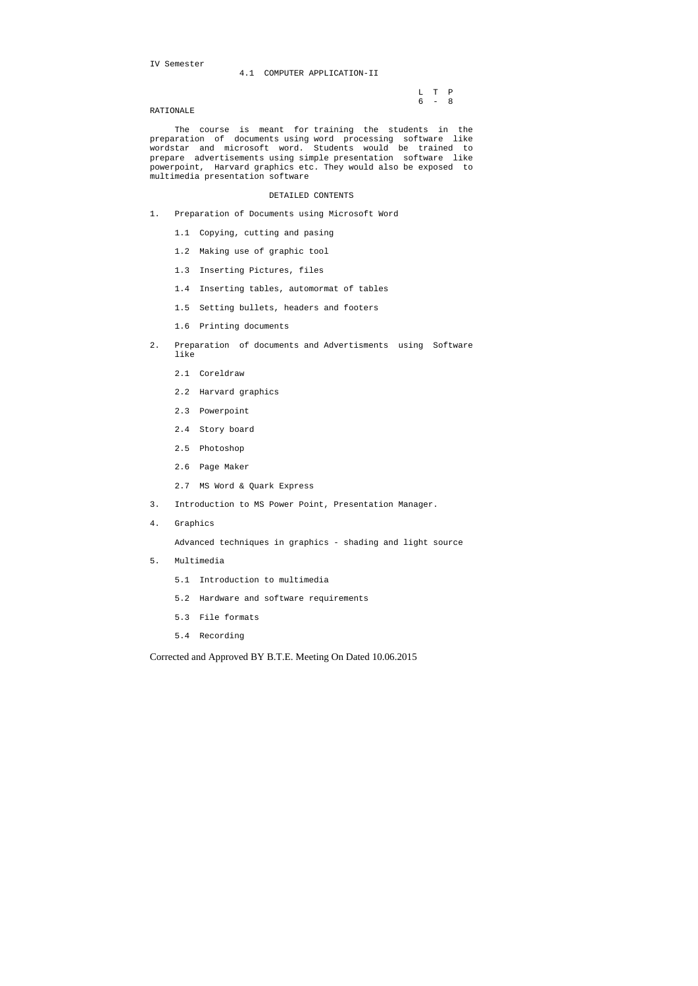IV Semester

#### 4.1 COMPUTER APPLICATION-II

 L T P 6 - 8

#### RATIONALE

 The course is meant for training the students in the preparation of documents using word processing software like wordstar and microsoft word. Students would be trained to prepare advertisements using simple presentation software like powerpoint, Harvard graphics etc. They would also be exposed to multimedia presentation software

#### DETAILED CONTENTS

- 1. Preparation of Documents using Microsoft Word
	- 1.1 Copying, cutting and pasing
	- 1.2 Making use of graphic tool
	- 1.3 Inserting Pictures, files
	- 1.4 Inserting tables, automormat of tables
	- 1.5 Setting bullets, headers and footers
	- 1.6 Printing documents
- 2. Preparation of documents and Advertisments using Software like
	- 2.1 Coreldraw
	- 2.2 Harvard graphics
	- 2.3 Powerpoint
	- 2.4 Story board
	- 2.5 Photoshop
	- 2.6 Page Maker
	- 2.7 MS Word & Quark Express
- 3. Introduction to MS Power Point, Presentation Manager.
- 4. Graphics

Advanced techniques in graphics - shading and light source

- 5. Multimedia
	- 5.1 Introduction to multimedia
	- 5.2 Hardware and software requirements
	- 5.3 File formats
	- 5.4 Recording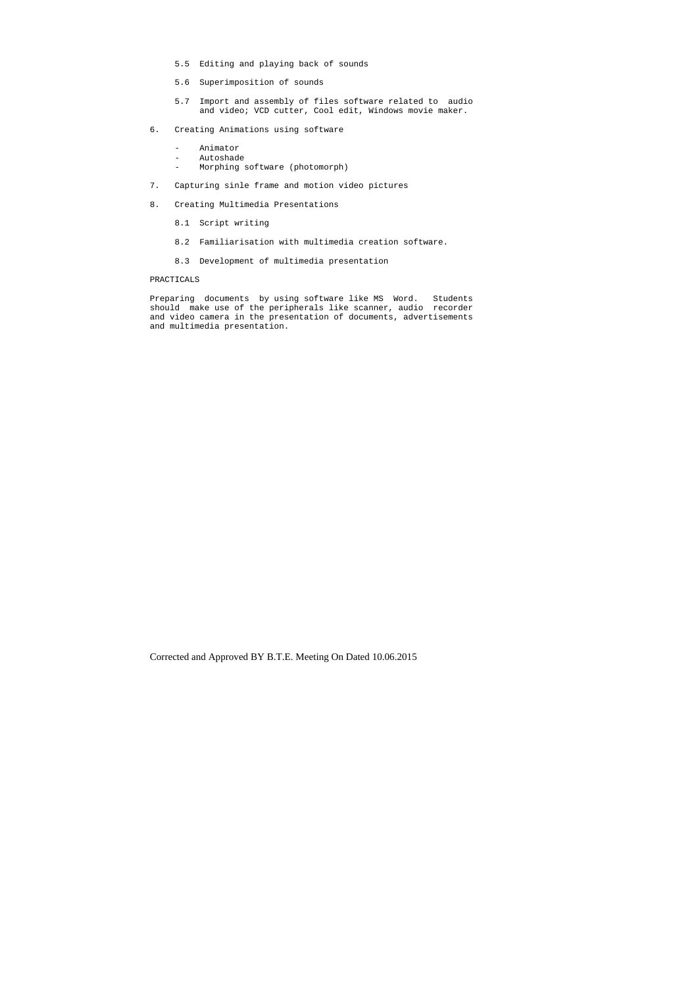- 5.5 Editing and playing back of sounds
- 5.6 Superimposition of sounds
- 5.7 Import and assembly of files software related to audio and video; VCD cutter, Cool edit, Windows movie maker.
- 6. Creating Animations using software
	- Animator<br>- Autoshad
	- Autoshade<br>- Morphing
	- Morphing software (photomorph)
- 7. Capturing sinle frame and motion video pictures
- 8. Creating Multimedia Presentations
	- 8.1 Script writing
	- 8.2 Familiarisation with multimedia creation software.
	- 8.3 Development of multimedia presentation

#### PRACTICALS

Preparing documents by using software like MS Word. Students should make use of the peripherals like scanner, audio recorder and video camera in the presentation of documents, advertisements and multimedia presentation.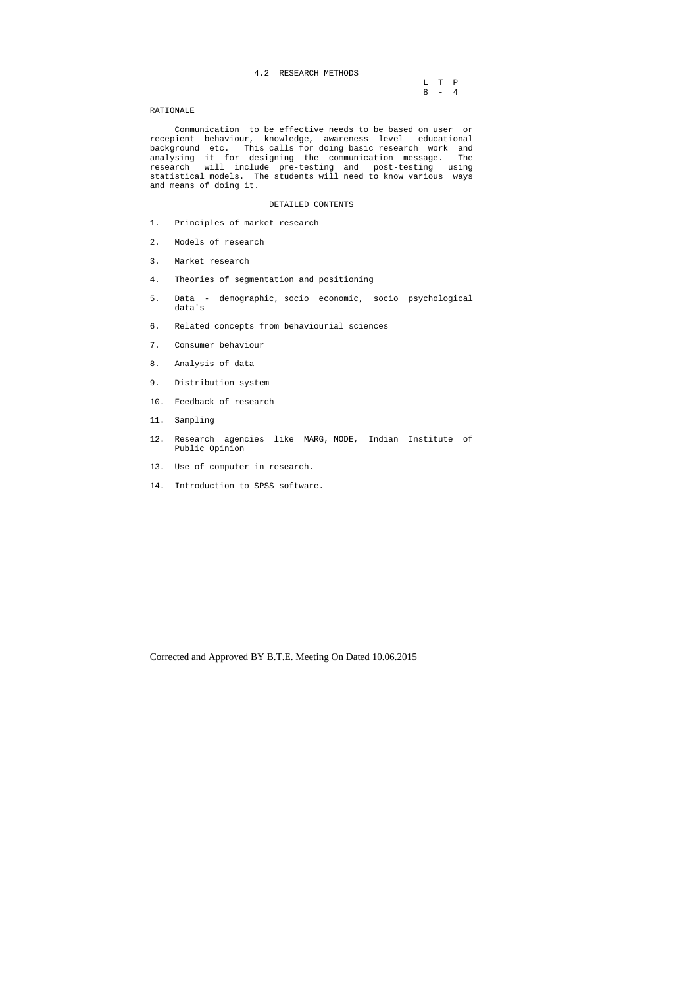L T P  $8 - 4$ 

#### 4.2 RESEARCH METHODS

#### RATIONALE

 Communication to be effective needs to be based on user or recepient behaviour, knowledge, awareness level educational background etc. This calls for doing basic research work and analysing it for designing the communication message. The research will include pre-testing and post-testing using statistical models. The students will need to know various ways and means of doing it.

# DETAILED CONTENTS

- 1. Principles of market research
- 2. Models of research
- 3. Market research
- 4. Theories of segmentation and positioning
- 5. Data demographic, socio economic, socio psychological data's
- 6. Related concepts from behaviourial sciences
- 7. Consumer behaviour
- 8. Analysis of data
- 9. Distribution system
- 10. Feedback of research
- 11. Sampling
- 12. Research agencies like MARG, MODE, Indian Institute of Public Opinion
- 13. Use of computer in research.
- 14. Introduction to SPSS software.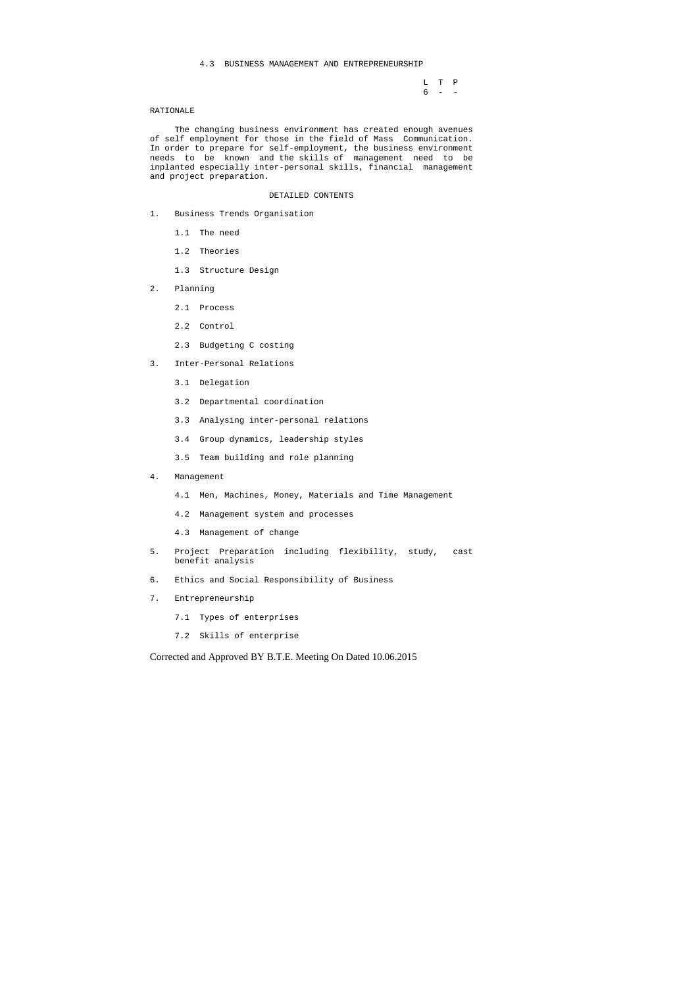#### 4.3 BUSINESS MANAGEMENT AND ENTREPRENEURSHIP

 L T P 6 - -

#### RATIONALE

 The changing business environment has created enough avenues of self employment for those in the field of Mass Communication. In order to prepare for self-employment, the business environment needs to be known and the skills of management need to be inplanted especially inter-personal skills, financial management and project preparation.

#### DETAILED CONTENTS

- 1. Business Trends Organisation
	- 1.1 The need
	- 1.2 Theories
	- 1.3 Structure Design
- 2. Planning
	- 2.1 Process
	- 2.2 Control
	- 2.3 Budgeting C costing
- 3. Inter-Personal Relations
	- 3.1 Delegation
	- 3.2 Departmental coordination
	- 3.3 Analysing inter-personal relations
	- 3.4 Group dynamics, leadership styles
	- 3.5 Team building and role planning
- 4. Management
	- 4.1 Men, Machines, Money, Materials and Time Management
	- 4.2 Management system and processes
	- 4.3 Management of change
- 5. Project Preparation including flexibility, study, cast benefit analysis
- 6. Ethics and Social Responsibility of Business
- 7. Entrepreneurship
	- 7.1 Types of enterprises
	- 7.2 Skills of enterprise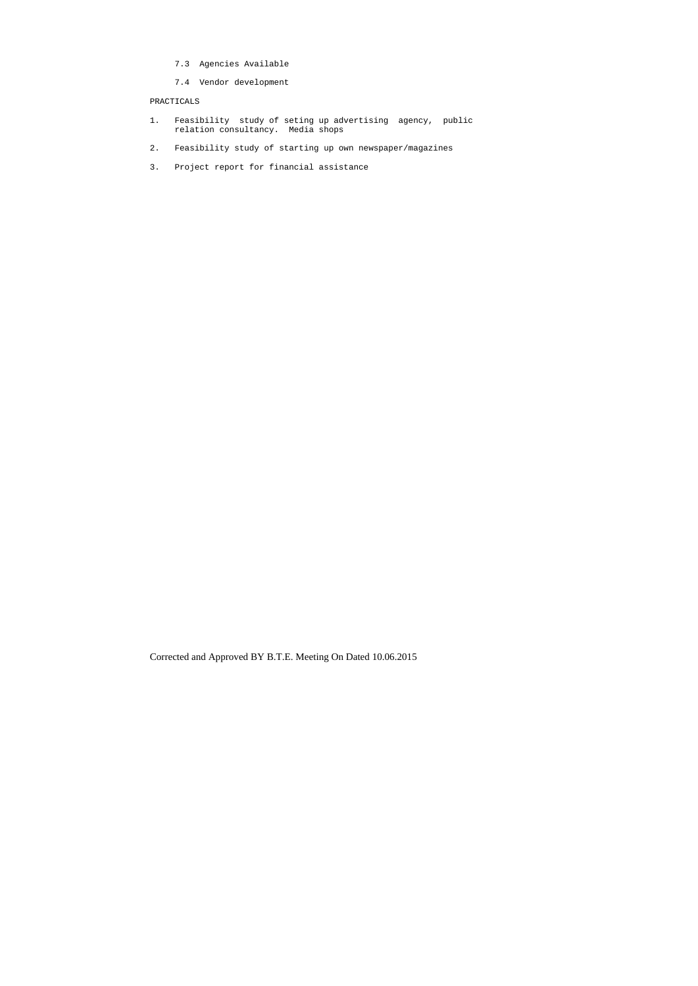- 7.3 Agencies Available
- 7.4 Vendor development

# PRACTICALS

- 1. Feasibility study of seting up advertising agency, public relation consultancy. Media shops
- 2. Feasibility study of starting up own newspaper/magazines
- 3. Project report for financial assistance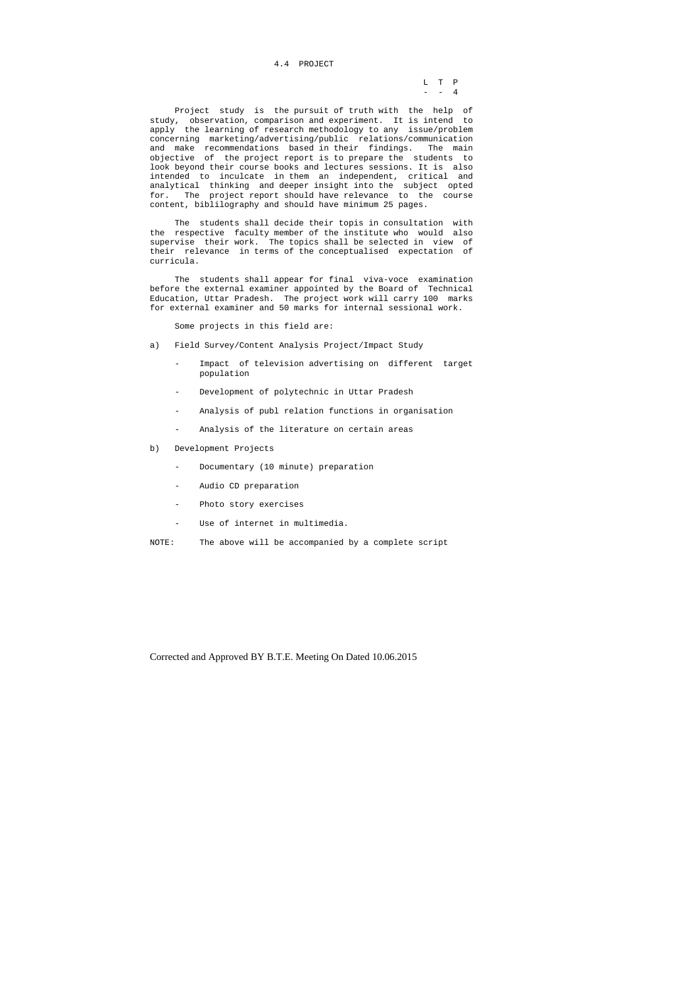L T P  $-$  - 4

# 4.4 PROJECT

 Project study is the pursuit of truth with the help of study, observation, comparison and experiment. It is intend to apply the learning of research methodology to any issue/problem concerning marketing/advertising/public relations/communication and make recommendations based in their findings. The main objective of the project report is to prepare the students to look beyond their course books and lectures sessions. It is also intended to inculcate in them an independent, critical and analytical thinking and deeper insight into the subject opted for. The project report should have relevance to the course content, biblilography and should have minimum 25 pages.

 The students shall decide their topis in consultation with the respective faculty member of the institute who would also supervise their work. The topics shall be selected in view of their relevance in terms of the conceptualised expectation of curricula.

 The students shall appear for final viva-voce examination before the external examiner appointed by the Board of Technical Education, Uttar Pradesh. The project work will carry 100 marks for external examiner and 50 marks for internal sessional work.

Some projects in this field are:

- a) Field Survey/Content Analysis Project/Impact Study
	- Impact of television advertising on different target population
	- Development of polytechnic in Uttar Pradesh
	- Analysis of publ relation functions in organisation
	- Analysis of the literature on certain areas
- b) Development Projects
	- Documentary (10 minute) preparation
	- Audio CD preparation
	- Photo story exercises
	- Use of internet in multimedia.
- NOTE: The above will be accompanied by a complete script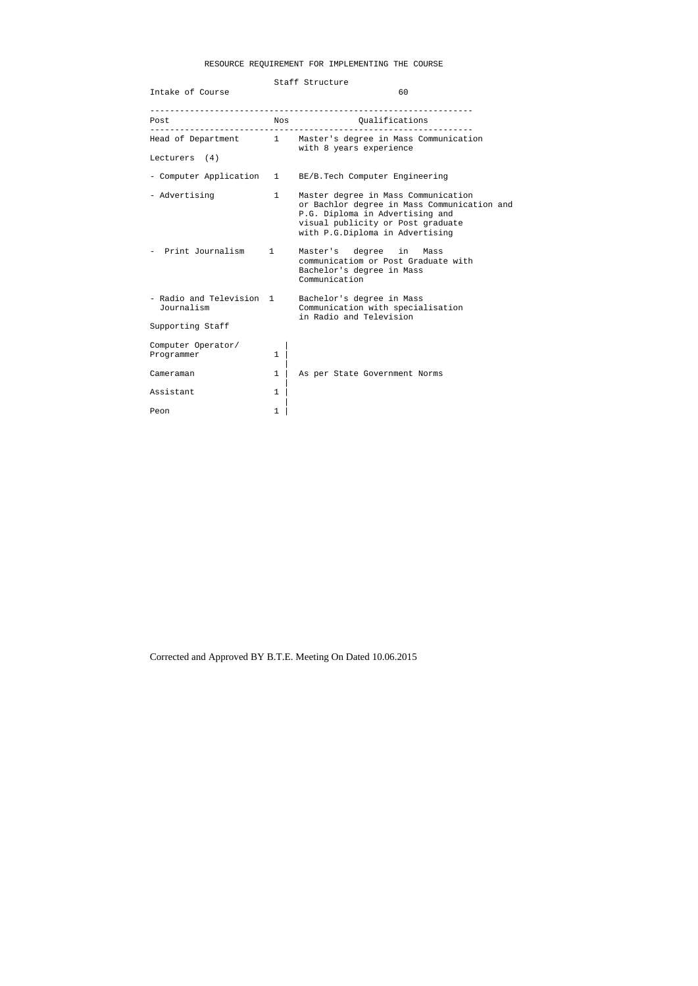# RESOURCE REQUIREMENT FOR IMPLEMENTING THE COURSE

|                                      | Staff Structure |                                                                                                                                                                                               |  |  |  |  |
|--------------------------------------|-----------------|-----------------------------------------------------------------------------------------------------------------------------------------------------------------------------------------------|--|--|--|--|
| Intake of Course                     |                 | 60                                                                                                                                                                                            |  |  |  |  |
| Post                                 | Nos             | Qualifications                                                                                                                                                                                |  |  |  |  |
|                                      |                 | Head of Department 1 Master's degree in Mass Communication<br>with 8 years experience                                                                                                         |  |  |  |  |
| Lecturers (4)                        |                 |                                                                                                                                                                                               |  |  |  |  |
| - Computer Application               | $\mathbf{1}$    | BE/B. Tech Computer Engineering                                                                                                                                                               |  |  |  |  |
| - Advertising                        | 1               | Master degree in Mass Communication<br>or Bachlor degree in Mass Communication and<br>P.G. Diploma in Advertising and<br>visual publicity or Post graduate<br>with P.G.Diploma in Advertising |  |  |  |  |
| Print Journalism                     | $\mathbf{1}$    | Master's<br>degree<br>in<br>Mass<br>communicatiom or Post Graduate with<br>Bachelor's degree in Mass<br>Communication                                                                         |  |  |  |  |
| - Radio and Television<br>Journalism | $\mathbf{1}$    | Bachelor's degree in Mass<br>Communication with specialisation<br>in Radio and Television                                                                                                     |  |  |  |  |
| Supporting Staff                     |                 |                                                                                                                                                                                               |  |  |  |  |
| Computer Operator/<br>Programmer     | 1               |                                                                                                                                                                                               |  |  |  |  |
| Cameraman                            | 1               | As per State Government Norms                                                                                                                                                                 |  |  |  |  |
| Assistant                            | 1               |                                                                                                                                                                                               |  |  |  |  |
| Peon                                 | 1               |                                                                                                                                                                                               |  |  |  |  |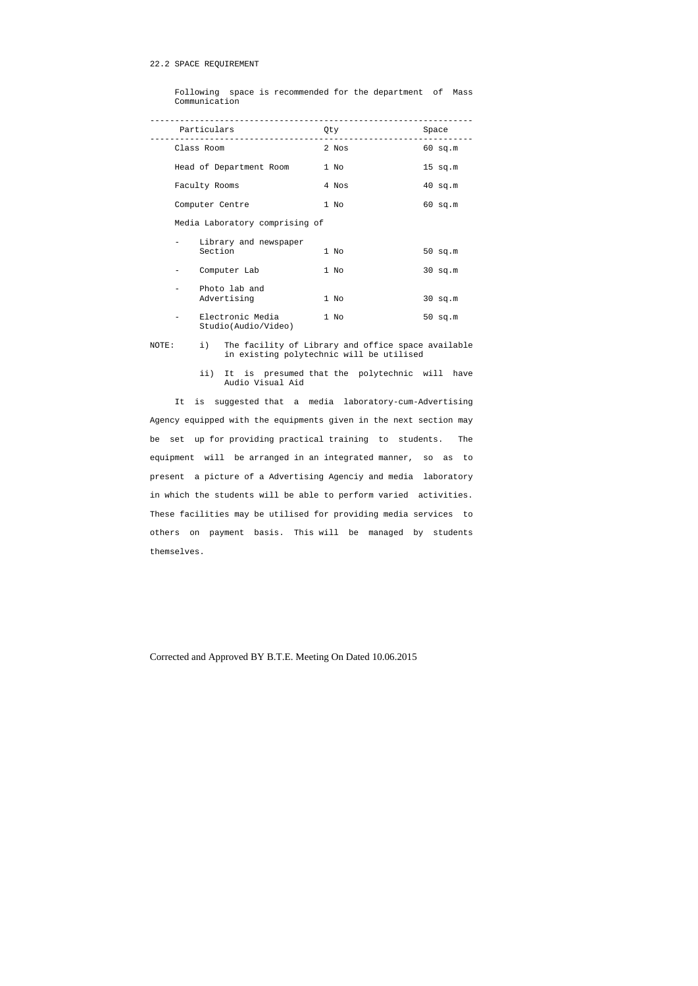# 22.2 SPACE REQUIREMENT

 Following space is recommended for the department of Mass Communication

|  | Particulars                                                                                                                    | Qty                  | Space     |
|--|--------------------------------------------------------------------------------------------------------------------------------|----------------------|-----------|
|  | Class Room                                                                                                                     | 2 Nos                | $60$ sq.m |
|  | Head of Department Room                                                                                                        | 1 No                 | $15$ sq.m |
|  | Faculty Rooms                                                                                                                  | 4 Nos                | $40$ sq.m |
|  | Computer Centre                                                                                                                | 1 No                 | $60$ sq.m |
|  | Media Laboratory comprising of                                                                                                 |                      |           |
|  | Library and newspaper<br>Section                                                                                               | 1 No                 | $50$ sq.m |
|  | Computer Lab                                                                                                                   | 1 No                 | $30$ sq.m |
|  | Photo lab and<br>Advertising                                                                                                   | 1 No                 | $30$ sq.m |
|  | Electronic Media<br>Studio(Audio/Video)                                                                                        | 1 No                 | $50$ sq.m |
|  | $\mathbf{1}$ , and $\mathbf{1}$ , and $\mathbf{1}$ , and $\mathbf{1}$ , and $\mathbf{1}$ , and $\mathbf{1}$ , and $\mathbf{1}$ | $\sim$ $\sim$ $\sim$ | .         |

# NOTE: i) The facility of Library and office space available in existing polytechnic will be utilised

 ii) It is presumed that the polytechnic will have Audio Visual Aid

 It is suggested that a media laboratory-cum-Advertising Agency equipped with the equipments given in the next section may be set up for providing practical training to students. The equipment will be arranged in an integrated manner, so as to present a picture of a Advertising Agenciy and media laboratory in which the students will be able to perform varied activities. These facilities may be utilised for providing media services to others on payment basis. This will be managed by students themselves.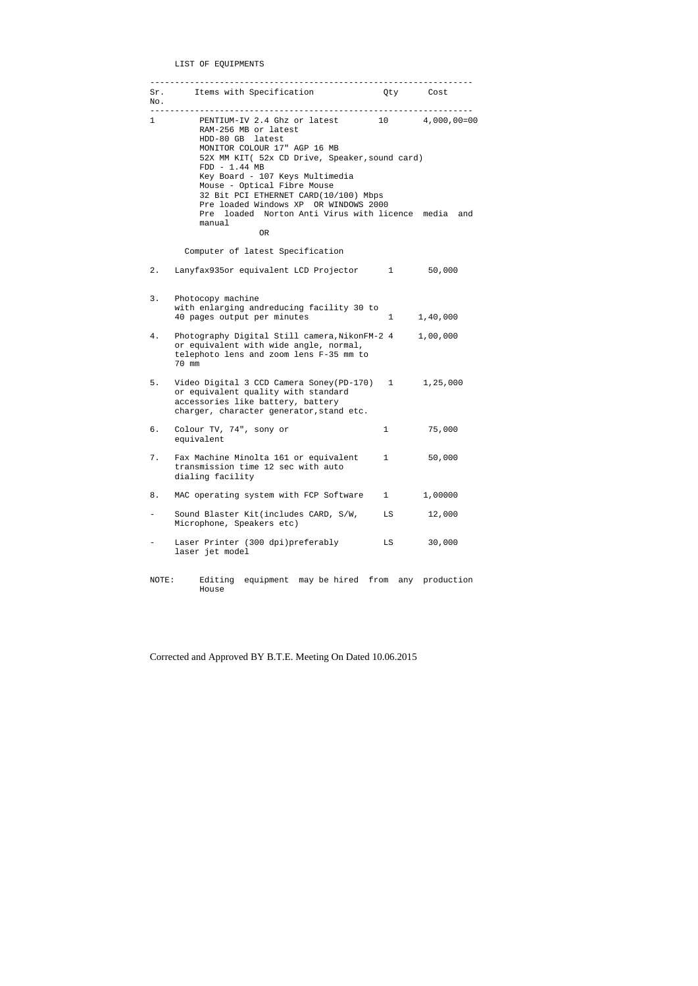LIST OF EQUIPMENTS

| No.   | Sr. Items with Specification                                                                                                                                                                                                    | Qty Cost     |          |
|-------|---------------------------------------------------------------------------------------------------------------------------------------------------------------------------------------------------------------------------------|--------------|----------|
| 1     | PENTIUM-IV 2.4 Ghz or latest 10 4,000,00=00<br>RAM-256 MB or latest<br>HDD-80 GB latest<br>MONITOR COLOUR 17" AGP 16 MB<br>52X MM KIT( 52x CD Drive, Speaker, sound card)<br>$FDD - 1.44 MB$<br>Key Board - 107 Keys Multimedia |              |          |
|       | Mouse - Optical Fibre Mouse<br>32 Bit PCI ETHERNET CARD(10/100) Mbps<br>Pre loaded Windows XP OR WINDOWS 2000<br>Pre loaded Norton Anti Virus with licence media and<br>manual<br>0R                                            |              |          |
|       | Computer of latest Specification                                                                                                                                                                                                |              |          |
| $2$ . | Lanyfax935or equivalent LCD Projector 1 50,000                                                                                                                                                                                  |              |          |
| 3.    | Photocopy machine<br>with enlarging andreducing facility 30 to<br>40 pages output per minutes                                                                                                                                   | $1 \quad$    | 1,40,000 |
| $4$ . | Photography Digital Still camera, NikonFM-2 4 1,00,000<br>or equivalent with wide angle, normal,<br>telephoto lens and zoom lens F-35 mm to<br>70 mm                                                                            |              |          |
| 5.    | Video Digital 3 CCD Camera Soney(PD-170) 1 1,25,000<br>or equivalent quality with standard<br>accessories like battery, battery<br>charger, character generator, stand etc.                                                     |              |          |
| б.    | Colour TV, 74", sony or<br>equivalent                                                                                                                                                                                           | $\mathbf 1$  | 75,000   |
| 7.    | Fax Machine Minolta 161 or equivalent<br>transmission time 12 sec with auto<br>dialing facility                                                                                                                                 | 1            | 50,000   |
| 8.    | MAC operating system with FCP Software                                                                                                                                                                                          | $\mathbf{1}$ | 1,00000  |
|       | Sound Blaster Kit(includes CARD, S/W,<br>Microphone, Speakers etc)                                                                                                                                                              | LS           | 12,000   |
|       | Laser Printer (300 dpi)preferably<br>laser jet model                                                                                                                                                                            | LS           | 30,000   |
| NOTE: | equipment may be hired from any production<br>Editing<br>House                                                                                                                                                                  |              |          |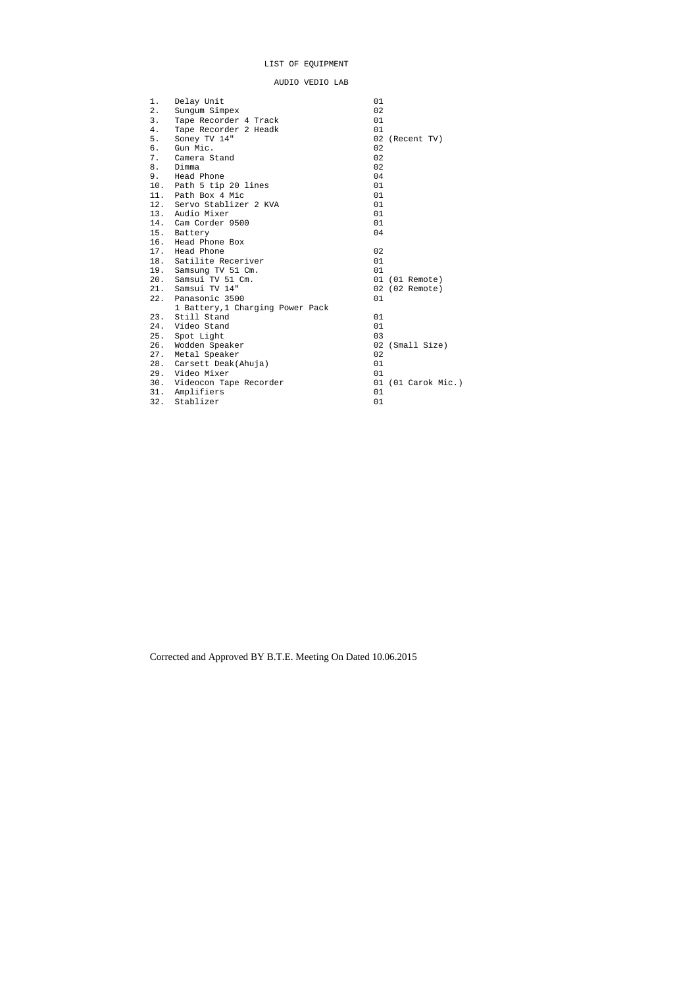# LIST OF EQUIPMENT

AUDIO VEDIO LAB

| 1.  | Delay Unit                       | 01                 |  |
|-----|----------------------------------|--------------------|--|
| 2.  | Sungum Simpex                    | 02                 |  |
| 3.  | Tape Recorder 4 Track            | 01                 |  |
| 4.  | Tape Recorder 2 Headk            | 01                 |  |
| 5.  | Soney TV 14"                     | 02<br>(Recent TV)  |  |
| б.  | Gun Mic.                         | 02                 |  |
| 7.  | Camera Stand                     | 02                 |  |
| 8.  | Dimma                            | 02                 |  |
| 9.  | Head Phone                       | 04                 |  |
| 10. | Path 5 tip 20 lines              | 01                 |  |
| 11. | Path Box 4 Mic                   | 01                 |  |
|     | 12. Servo Stablizer 2 KVA        | 01                 |  |
| 13. | Audio Mixer                      | 01                 |  |
| 14. | Cam Corder 9500                  | 01                 |  |
| 15. | Battery                          | 04                 |  |
| 16. | Head Phone Box                   |                    |  |
| 17. | Head Phone                       | 02                 |  |
| 18. | Satilite Receriver               | 01                 |  |
|     | 19. Samsung TV 51 Cm.            | 01                 |  |
| 20. | Samsui TV 51 Cm.                 | 01 (01 Remote)     |  |
| 21. | Samsui TV 14"                    | 02 (02 Remote)     |  |
| 22. | Panasonic 3500                   | 01                 |  |
|     | 1 Battery, 1 Charging Power Pack |                    |  |
| 23. | Still Stand                      | 01                 |  |
| 24. | Video Stand                      | 01                 |  |
| 25. | Spot Light                       | 03                 |  |
| 26. | Wodden Speaker                   | 02<br>(Small Size) |  |
| 27. | Metal Speaker                    | 02                 |  |
| 28. | Carsett Deak(Ahuja)              | 01                 |  |
| 29. | Video Mixer                      | 01                 |  |
| 30. | Videocon Tape Recorder           | 01 (01 Carok Mic.) |  |
| 31. | Amplifiers                       | 01                 |  |
| 32. | Stablizer                        | 01                 |  |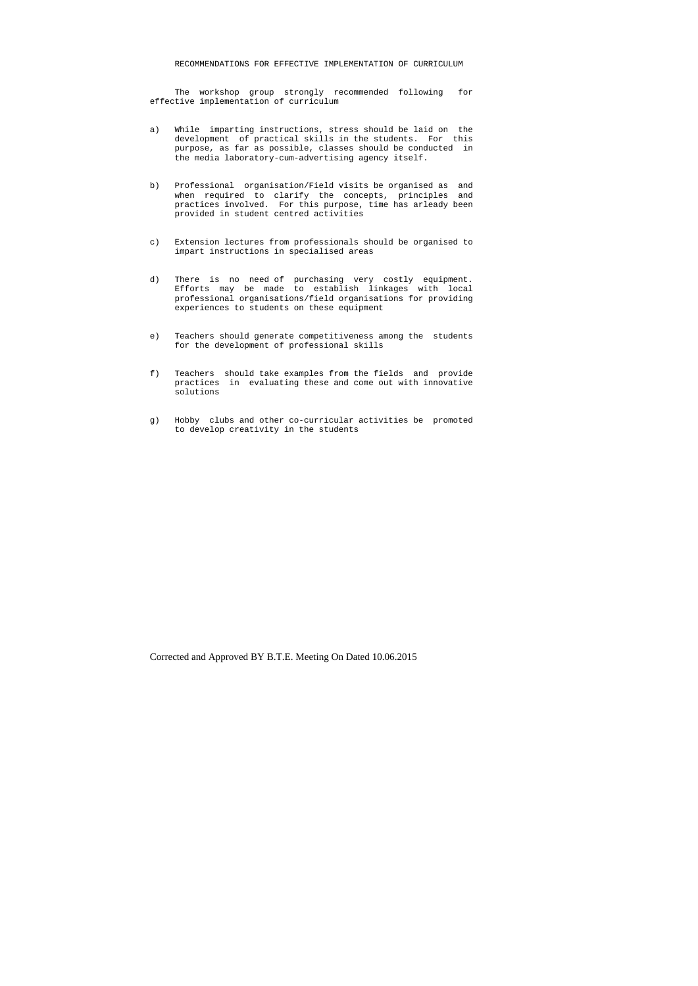#### RECOMMENDATIONS FOR EFFECTIVE IMPLEMENTATION OF CURRICULUM

 The workshop group strongly recommended following for effective implementation of curriculum

- a) While imparting instructions, stress should be laid on the development of practical skills in the students. For this purpose, as far as possible, classes should be conducted in the media laboratory-cum-advertising agency itself.
- b) Professional organisation/Field visits be organised as and when required to clarify the concepts, principles and practices involved. For this purpose, time has arleady been provided in student centred activities
- c) Extension lectures from professionals should be organised to impart instructions in specialised areas
- d) There is no need of purchasing very costly equipment. Efforts may be made to establish linkages with local professional organisations/field organisations for providing experiences to students on these equipment
- e) Teachers should generate competitiveness among the students for the development of professional skills
- f) Teachers should take examples from the fields and provide practices in evaluating these and come out with innovative solutions
- g) Hobby clubs and other co-curricular activities be promoted to develop creativity in the students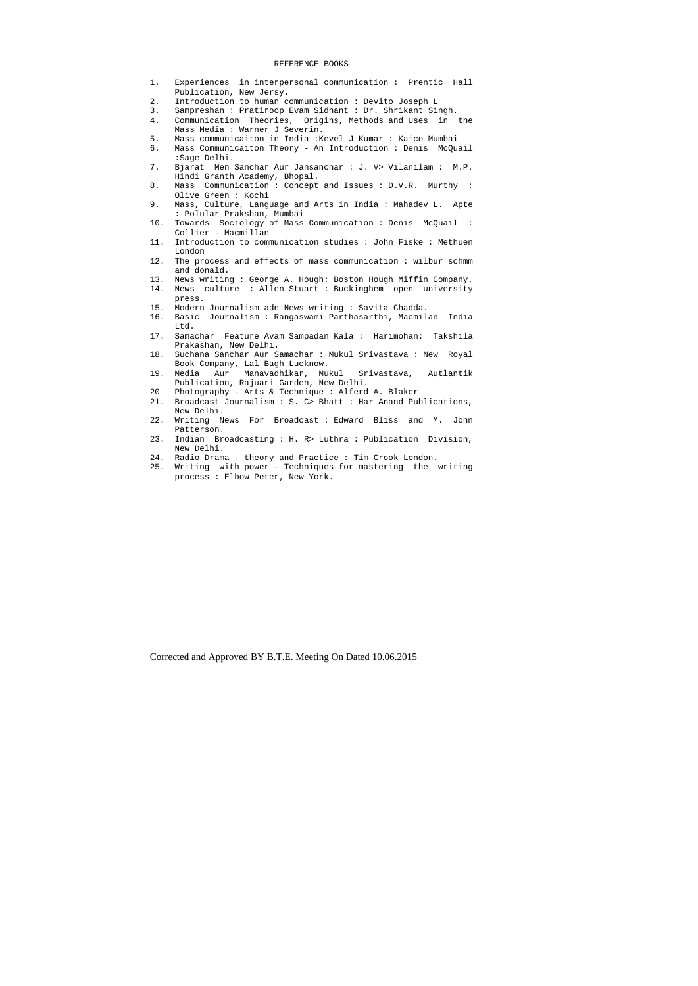#### REFERENCE BOOKS

- 1. Experiences in interpersonal communication : Prentic Hall Publication, New Jersy.
- 2. Introduction to human communication : Devito Joseph L
- 3. Sampreshan : Pratiroop Evam Sidhant : Dr. Shrikant Singh.
- 4. Communication Theories, Origins, Methods and Uses in the Mass Media : Warner J Severin.
- 5. Mass communicaiton in India :Kevel J Kumar : Kaico Mumbai
- 6. Mass Communicaiton Theory An Introduction : Denis McQuail :Sage Delhi.
- 7. Bjarat Men Sanchar Aur Jansanchar : J. V> Vilanilam : M.P. Hindi Granth Academy, Bhopal.
- 8. Mass Communication : Concept and Issues : D.V.R. Murthy : Olive Green : Kochi
- 9. Mass, Culture, Language and Arts in India : Mahadev L. Apte : Polular Prakshan, Mumbai
- 10. Towards Sociology of Mass Communication : Denis McQuail : Collier - Macmillan
- 11. Introduction to communication studies : John Fiske : Methuen London
- 12. The process and effects of mass communication : wilbur schmm and donald.
- 13. News writing : George A. Hough: Boston Hough Miffin Company.
- 14. News culture : Allen Stuart : Buckinghem open university press.
- 15. Modern Journalism adn News writing : Savita Chadda.
- 16. Basic Journalism : Rangaswami Parthasarthi, Macmilan India Ltd.
- 17. Samachar Feature Avam Sampadan Kala : Harimohan: Takshila Prakashan, New Delhi.
- 18. Suchana Sanchar Aur Samachar : Mukul Srivastava : New Royal Book Company, Lal Bagh Lucknow.
- 19. Media Aur Manavadhikar, Mukul Srivastava, Autlantik Publication, Rajuari Garden, New Delhi.
- 20 Photography Arts & Technique : Alferd A. Blaker
- 21. Broadcast Journalism : S. C> Bhatt : Har Anand Publications, New Delhi.
- 22. Writing News For Broadcast : Edward Bliss and M. John Patterson.
- 23. Indian Broadcasting : H. R> Luthra : Publication Division, New Delhi.
- 24. Radio Drama theory and Practice : Tim Crook London.
- 25. Writing with power Techniques for mastering the writing process : Elbow Peter, New York.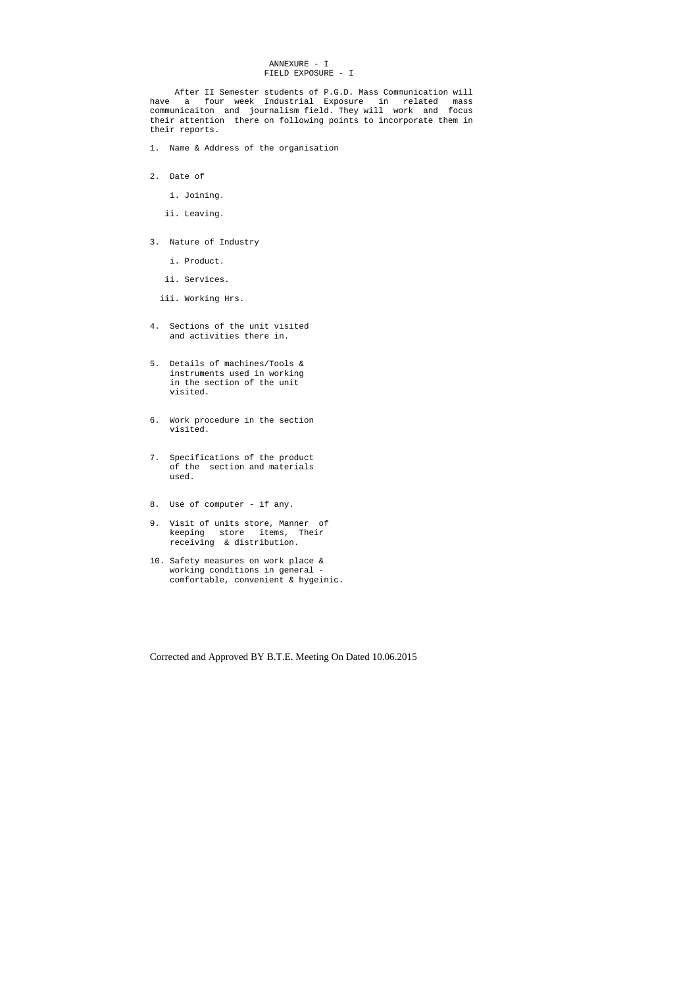# ANNEXURE - I FIELD EXPOSURE - I

 After II Semester students of P.G.D. Mass Communication will have a four week Industrial Exposure in related mass communicaiton and journalism field. They will work and focus their attention there on following points to incorporate them in their reports.

- 1. Name & Address of the organisation
- 2. Date of
	- i. Joining.
	- ii. Leaving.
- 3. Nature of Industry
	- i. Product.
	- ii. Services.
	- iii. Working Hrs.
- 4. Sections of the unit visited and activities there in.
- 5. Details of machines/Tools & instruments used in working in the section of the unit visited.
- 6. Work procedure in the section visited.
- 7. Specifications of the product of the section and materials used.
- 8. Use of computer if any.
- 9. Visit of units store, Manner of keeping store items, Their receiving & distribution.
- 10. Safety measures on work place & working conditions in general comfortable, convenient & hygeinic.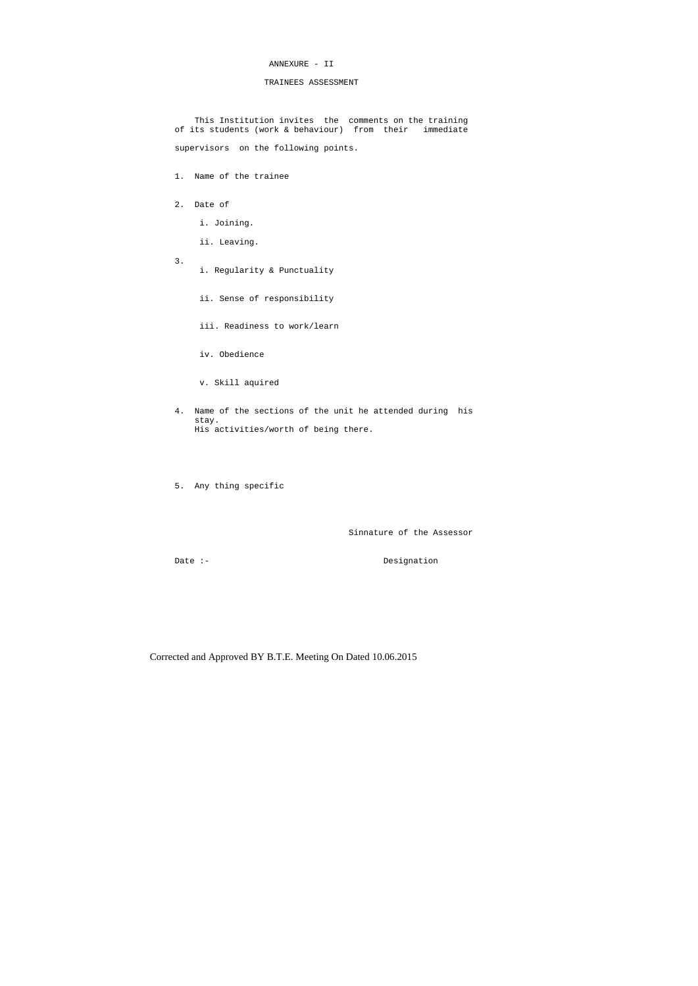# ANNEXURE - II

# TRAINEES ASSESSMENT

 This Institution invites the comments on the training of its students (work & behaviour) from their immediate

supervisors on the following points.

1. Name of the trainee

- 2. Date of
	- i. Joining.
	- ii. Leaving.
- 3.
- i. Regularity & Punctuality
- ii. Sense of responsibility
- iii. Readiness to work/learn
- iv. Obedience
- v. Skill aquired
- 4. Name of the sections of the unit he attended during his stay. His activities/worth of being there.
- 5. Any thing specific

Sinnature of the Assessor

Date :- Designation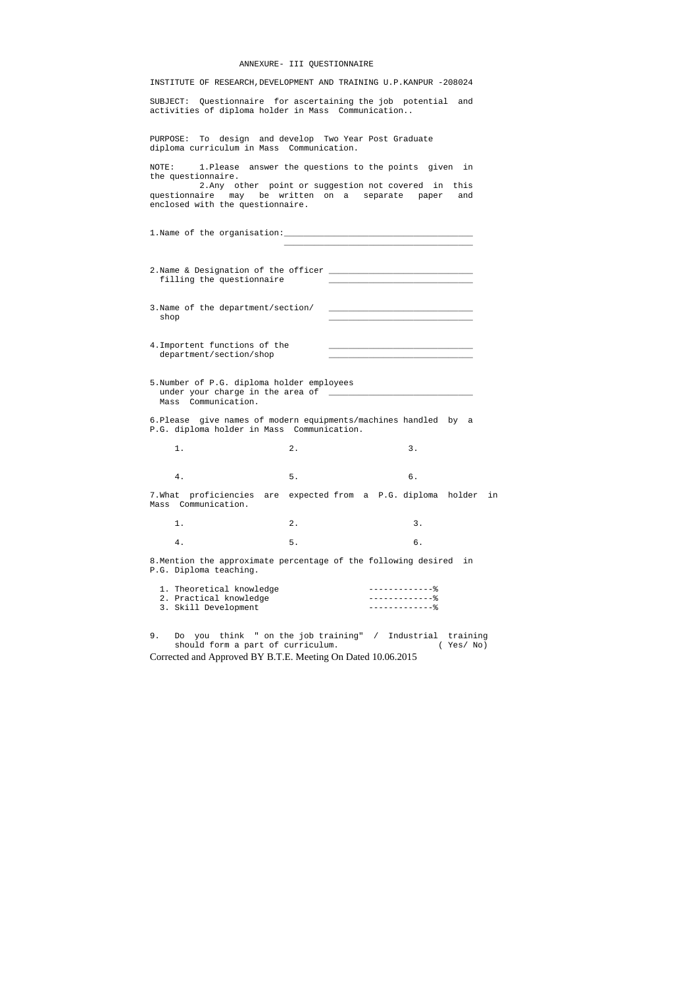#### ANNEXURE- III QUESTIONNAIRE

INSTITUTE OF RESEARCH,DEVELOPMENT AND TRAINING U.P.KANPUR -208024

SUBJECT: Questionnaire for ascertaining the job potential and activities of diploma holder in Mass Communication..

PURPOSE: To design and develop Two Year Post Graduate diploma curriculum in Mass Communication.

NOTE: 1.Please answer the questions to the points given in the questionnaire.

 2.Any other point or suggestion not covered in this questionnaire may be written on a separate paper and enclosed with the questionnaire.

1. Name of the organisation: 1.

| $1.$ $2.$ $3.$ |  |
|----------------|--|
| 4.5.5.         |  |

|  |                           |  | 2. Name & Designation of the officer |  |
|--|---------------------------|--|--------------------------------------|--|
|  | filling the questionnaire |  |                                      |  |

 $\mathcal{L}_\mathcal{L}$  , and the state of the state of the state of the state of the state of the state of the state of the state of the state of the state of the state of the state of the state of the state of the state of the s

3. Name of the department/section/  $\operatorname{shop}$ 

- 4.Importent functions of the department/section/shop
- 5.Number of P.G. diploma holder employees under your charge in the area of \_\_\_\_\_\_\_\_\_\_\_\_\_\_\_\_\_\_\_\_\_\_\_\_\_\_\_\_\_ Mass Communication.
- 6.Please give names of modern equipments/machines handled by a P.G. diploma holder in Mass Communication.
- 1. 2. 3.

4. 5. 6.

7.What proficiencies are expected from a P.G. diploma holder in Mass Communication.

8.Mention the approximate percentage of the following desired in P.G. Diploma teaching.

| 1. Theoretical knowledge |                   |
|--------------------------|-------------------|
| 2. Practical knowledge   | --------------- - |
| 3. Skill Development     |                   |

9. Do you think " on the job training" / Industrial training<br>should form a part of curriculum. (Yes/No) should form a part of curriculum.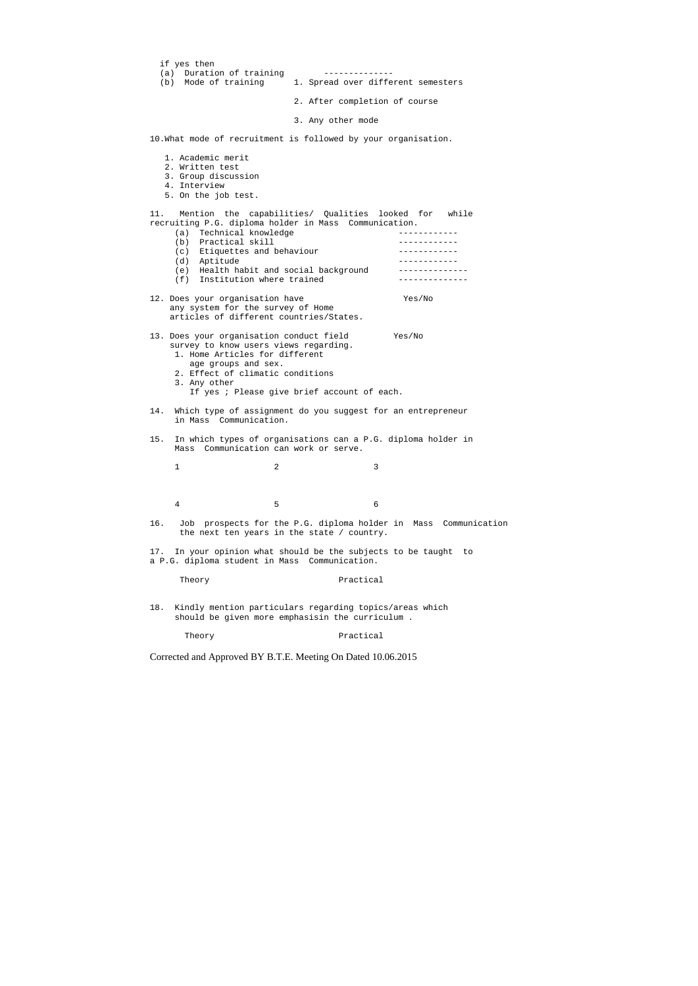|     | if yes then                                                                                                                                                                                                                                                                                |                   |                                    |                                                                 |
|-----|--------------------------------------------------------------------------------------------------------------------------------------------------------------------------------------------------------------------------------------------------------------------------------------------|-------------------|------------------------------------|-----------------------------------------------------------------|
|     | (a) Duration of training                                                                                                                                                                                                                                                                   |                   | --------------                     |                                                                 |
|     | (b) Mode of training                                                                                                                                                                                                                                                                       |                   | 1. Spread over different semesters |                                                                 |
|     |                                                                                                                                                                                                                                                                                            |                   | 2. After completion of course      |                                                                 |
|     |                                                                                                                                                                                                                                                                                            | 3. Any other mode |                                    |                                                                 |
|     | 10. What mode of recruitment is followed by your organisation.                                                                                                                                                                                                                             |                   |                                    |                                                                 |
|     | 1. Academic merit<br>2. Written test<br>3. Group discussion<br>4. Interview<br>5. On the job test.                                                                                                                                                                                         |                   |                                    |                                                                 |
| 11. | Mention the capabilities/ Qualities looked for while<br>recruiting P.G. diploma holder in Mass Communication.<br>(a) Technical knowledge<br>(b) Practical skill<br>(c) Etiquettes and behaviour<br>(d) Aptitude<br>(e) Health habit and social background<br>(f) Institution where trained |                   |                                    |                                                                 |
|     | 12. Does your organisation have<br>any system for the survey of Home<br>articles of different countries/States.                                                                                                                                                                            |                   |                                    | Yes/No                                                          |
|     | 13. Does your organisation conduct field<br>survey to know users views regarding.<br>1. Home Articles for different<br>age groups and sex.<br>2. Effect of climatic conditions<br>3. Any other<br>If yes ; Please give brief account of each.                                              |                   |                                    | Yes/No                                                          |
| 14. | Which type of assignment do you suggest for an entrepreneur<br>in Mass Communication.                                                                                                                                                                                                      |                   |                                    |                                                                 |
| 15. | In which types of organisations can a P.G. diploma holder in<br>Communication can work or serve.<br>Mass                                                                                                                                                                                   |                   |                                    |                                                                 |
|     | 2<br>1                                                                                                                                                                                                                                                                                     |                   | 3                                  |                                                                 |
|     | 5<br>4                                                                                                                                                                                                                                                                                     |                   | 6                                  |                                                                 |
| 16. | the next ten years in the state / country.                                                                                                                                                                                                                                                 |                   |                                    | Job prospects for the P.G. diploma holder in Mass Communication |
| 17. | In your opinion what should be the subjects to be taught<br>a P.G. diploma student in Mass Communication.                                                                                                                                                                                  |                   |                                    | to                                                              |
|     | Theory                                                                                                                                                                                                                                                                                     |                   | Practical                          |                                                                 |
| 18. | Kindly mention particulars regarding topics/areas which<br>should be given more emphasisin the curriculum.                                                                                                                                                                                 |                   |                                    |                                                                 |
|     | Theory                                                                                                                                                                                                                                                                                     |                   | Practical                          |                                                                 |